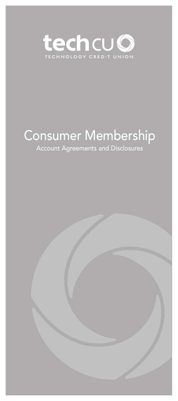

# Consumer Membership

# Account Agreements and Disclosures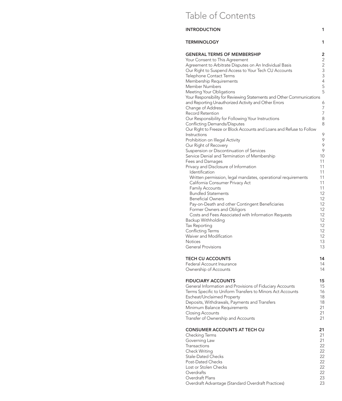# Table of Contents

| INTRODUCTION                                                                                                                                                                                                                                                                                                                                                                                                                                                                                                                                                                                                                                                                          | 1                                                                                    |
|---------------------------------------------------------------------------------------------------------------------------------------------------------------------------------------------------------------------------------------------------------------------------------------------------------------------------------------------------------------------------------------------------------------------------------------------------------------------------------------------------------------------------------------------------------------------------------------------------------------------------------------------------------------------------------------|--------------------------------------------------------------------------------------|
| <b>TERMINOLOGY</b>                                                                                                                                                                                                                                                                                                                                                                                                                                                                                                                                                                                                                                                                    | 1                                                                                    |
| <b>GENERAL TERMS OF MEMBERSHIP</b><br>Your Consent to This Agreement<br>Agreement to Arbitrate Disputes on An Individual Basis<br>Our Right to Suspend Access to Your Tech CU Accounts<br>Telephone Contact Terms<br>Membership Requirements<br>Member Numbers<br>Meeting Your Obligations<br>Your Responsibility for Reviewing Statements and Other Communications<br>and Reporting Unauthorized Activity and Other Errors<br>Change of Address<br>Record Retention<br>Our Responsibility for Following Your Instructions<br>Conflicting Demands/Disputes<br>Our Right to Freeze or Block Accounts and Loans and Refuse to Follow<br>Instructions<br>Prohibition on Illegal Activity | 2<br>$\overline{c}$<br>2<br>3<br>3<br>4<br>5<br>5<br>6<br>7<br>7<br>8<br>8<br>9<br>9 |
| Our Right of Recovery                                                                                                                                                                                                                                                                                                                                                                                                                                                                                                                                                                                                                                                                 | 9                                                                                    |
| Suspension or Discontinuation of Services                                                                                                                                                                                                                                                                                                                                                                                                                                                                                                                                                                                                                                             | 9                                                                                    |
| Service Denial and Termination of Membership                                                                                                                                                                                                                                                                                                                                                                                                                                                                                                                                                                                                                                          | 10                                                                                   |
| Fees and Damages                                                                                                                                                                                                                                                                                                                                                                                                                                                                                                                                                                                                                                                                      | 11                                                                                   |
| Privacy and Disclosure of Information                                                                                                                                                                                                                                                                                                                                                                                                                                                                                                                                                                                                                                                 | 11                                                                                   |
| Identification                                                                                                                                                                                                                                                                                                                                                                                                                                                                                                                                                                                                                                                                        | 11                                                                                   |
| Written permission, legal mandates, operational requirements                                                                                                                                                                                                                                                                                                                                                                                                                                                                                                                                                                                                                          | 11                                                                                   |
| California Consumer Privacy Act                                                                                                                                                                                                                                                                                                                                                                                                                                                                                                                                                                                                                                                       | 11                                                                                   |
| Family Accounts                                                                                                                                                                                                                                                                                                                                                                                                                                                                                                                                                                                                                                                                       | 11                                                                                   |
| <b>Bundled Statements</b>                                                                                                                                                                                                                                                                                                                                                                                                                                                                                                                                                                                                                                                             | 12                                                                                   |
| <b>Beneficial Owners</b>                                                                                                                                                                                                                                                                                                                                                                                                                                                                                                                                                                                                                                                              | 12                                                                                   |
| Pay-on-Death and other Contingent Beneficiaries                                                                                                                                                                                                                                                                                                                                                                                                                                                                                                                                                                                                                                       | 12                                                                                   |
| Former Owners and Obligors                                                                                                                                                                                                                                                                                                                                                                                                                                                                                                                                                                                                                                                            | 12                                                                                   |
| Costs and Fees Associated with Information Requests                                                                                                                                                                                                                                                                                                                                                                                                                                                                                                                                                                                                                                   | 12                                                                                   |
| Backup Withholding                                                                                                                                                                                                                                                                                                                                                                                                                                                                                                                                                                                                                                                                    | 12                                                                                   |
| Tax Reporting                                                                                                                                                                                                                                                                                                                                                                                                                                                                                                                                                                                                                                                                         | 12                                                                                   |
| Conflicting Terms                                                                                                                                                                                                                                                                                                                                                                                                                                                                                                                                                                                                                                                                     | 12                                                                                   |
| Waiver and Modification                                                                                                                                                                                                                                                                                                                                                                                                                                                                                                                                                                                                                                                               | 12                                                                                   |
| <b>Notices</b>                                                                                                                                                                                                                                                                                                                                                                                                                                                                                                                                                                                                                                                                        | 13                                                                                   |
| <b>General Provisions</b>                                                                                                                                                                                                                                                                                                                                                                                                                                                                                                                                                                                                                                                             | 13                                                                                   |
| <b>TECH CU ACCOUNTS</b>                                                                                                                                                                                                                                                                                                                                                                                                                                                                                                                                                                                                                                                               | 14                                                                                   |
| Federal Account Insurance                                                                                                                                                                                                                                                                                                                                                                                                                                                                                                                                                                                                                                                             | 14                                                                                   |
| Ownership of Accounts                                                                                                                                                                                                                                                                                                                                                                                                                                                                                                                                                                                                                                                                 | 14                                                                                   |
| <b>FIDUCIARY ACCOUNTS</b>                                                                                                                                                                                                                                                                                                                                                                                                                                                                                                                                                                                                                                                             | 15                                                                                   |
| General Information and Provisions of Fiduciary Accounts                                                                                                                                                                                                                                                                                                                                                                                                                                                                                                                                                                                                                              | 15                                                                                   |
| Terms Specific to Uniform Transfers to Minors Act Accounts                                                                                                                                                                                                                                                                                                                                                                                                                                                                                                                                                                                                                            | 16                                                                                   |
| Escheat/Unclaimed Property                                                                                                                                                                                                                                                                                                                                                                                                                                                                                                                                                                                                                                                            | 18                                                                                   |
| Deposits, Withdrawals, Payments and Transfers                                                                                                                                                                                                                                                                                                                                                                                                                                                                                                                                                                                                                                         | 18                                                                                   |
| Minimum Balance Requirements                                                                                                                                                                                                                                                                                                                                                                                                                                                                                                                                                                                                                                                          | 21                                                                                   |
| <b>Closing Accounts</b>                                                                                                                                                                                                                                                                                                                                                                                                                                                                                                                                                                                                                                                               | 21                                                                                   |
| Transfer of Ownership and Accounts                                                                                                                                                                                                                                                                                                                                                                                                                                                                                                                                                                                                                                                    | 21                                                                                   |
| <b>CONSUMER ACCOUNTS AT TECH CU</b>                                                                                                                                                                                                                                                                                                                                                                                                                                                                                                                                                                                                                                                   | 21                                                                                   |
| Checking Terms                                                                                                                                                                                                                                                                                                                                                                                                                                                                                                                                                                                                                                                                        | 21                                                                                   |
| Governing Law                                                                                                                                                                                                                                                                                                                                                                                                                                                                                                                                                                                                                                                                         | 21                                                                                   |
| Transactions                                                                                                                                                                                                                                                                                                                                                                                                                                                                                                                                                                                                                                                                          | 22                                                                                   |
| <b>Check Writing</b>                                                                                                                                                                                                                                                                                                                                                                                                                                                                                                                                                                                                                                                                  | 22                                                                                   |
| <b>Stale-Dated Checks</b>                                                                                                                                                                                                                                                                                                                                                                                                                                                                                                                                                                                                                                                             | 22                                                                                   |
| Post-Dated Checks                                                                                                                                                                                                                                                                                                                                                                                                                                                                                                                                                                                                                                                                     | 22                                                                                   |
| Lost or Stolen Checks                                                                                                                                                                                                                                                                                                                                                                                                                                                                                                                                                                                                                                                                 | 22                                                                                   |
| Overdrafts                                                                                                                                                                                                                                                                                                                                                                                                                                                                                                                                                                                                                                                                            | 22                                                                                   |
| Overdraft Plans                                                                                                                                                                                                                                                                                                                                                                                                                                                                                                                                                                                                                                                                       | 23                                                                                   |
| Overdraft Advantage (Standard Overdraft Practices)                                                                                                                                                                                                                                                                                                                                                                                                                                                                                                                                                                                                                                    | 23                                                                                   |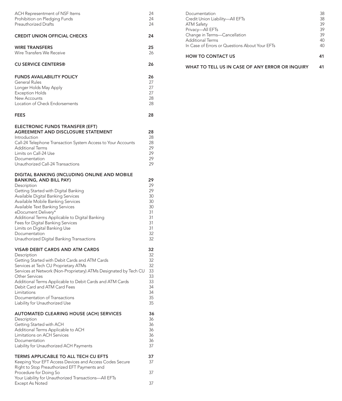| ACH Representment of NSF Items<br>Prohibition on Pledging Funds<br><b>Preauthorized Drafts</b>                                                                                                                                                                                                                                                                                                                                                                  | 24<br>24<br>24                                                       |
|-----------------------------------------------------------------------------------------------------------------------------------------------------------------------------------------------------------------------------------------------------------------------------------------------------------------------------------------------------------------------------------------------------------------------------------------------------------------|----------------------------------------------------------------------|
| <b>CREDIT UNION OFFICIAL CHECKS</b>                                                                                                                                                                                                                                                                                                                                                                                                                             | 24                                                                   |
| <b>WIRE TRANSFERS</b><br>Wire Transfers We Receive                                                                                                                                                                                                                                                                                                                                                                                                              | 25<br>26                                                             |
| <b>CU SERVICE CENTERS®</b>                                                                                                                                                                                                                                                                                                                                                                                                                                      | 26                                                                   |
| <b>FUNDS AVAILABILITY POLICY</b><br>General Rules<br>Longer Holds May Apply<br><b>Exception Holds</b><br>New Accounts<br>Location of Check Endorsements                                                                                                                                                                                                                                                                                                         | 26<br>27<br>27<br>27<br>28<br>28                                     |
| <b>FEES</b>                                                                                                                                                                                                                                                                                                                                                                                                                                                     | 28                                                                   |
| ELECTRONIC FUNDS TRANSFER (EFT)<br>AGREEMENT AND DISCLOSURE STATEMENT<br>Introduction<br>Call-24 Telephone Transaction System Access to Your Accounts<br><b>Additional Terms</b><br>Limits on Call-24 Use<br>Documentation<br>Unauthorized Call-24 Transactions                                                                                                                                                                                                 | 28<br>28<br>28<br>29<br>29<br>29<br>29                               |
| DIGITAL BANKING (INCLUDING ONLINE AND MOBILE<br><b>BANKING, AND BILL PAY)</b><br>Description<br>Getting Started with Digital Banking<br>Available Digital Banking Services<br>Available Mobile Banking Services<br>Available Text Banking Services<br>eDocument Delivery*<br>Additional Terms Applicable to Digital Banking<br>Fees for Digital Banking Services<br>Limits on Digital Banking Use<br>Documentation<br>Unauthorized Digital Banking Transactions | 29<br>29<br>29<br>30<br>30<br>30<br>31<br>31<br>31<br>31<br>32<br>32 |
| <b>VISA® DEBIT CARDS AND ATM CARDS</b><br>Description<br>Getting Started with Debit Cards and ATM Cards<br>Services at Tech CU Proprietary ATMs<br>Services at Network (Non-Proprietary) ATMs Designated by Tech CU<br>Other Services<br>Additional Terms Applicable to Debit Cards and ATM Cards<br>Debit Card and ATM Card Fees<br>Limitations<br>Documentation of Transactions<br>Liability for Unauthorized Use                                             | 32<br>32<br>32<br>32<br>33<br>33<br>33<br>34<br>34<br>35<br>35       |
| <b>AUTOMATED CLEARING HOUSE (ACH) SERVICES</b><br>Description<br>Getting Started with ACH<br>Additional Terms Applicable to ACH<br>Limitations on ACH Services<br>Documentation<br>Liability for Unauthorized ACH Payments                                                                                                                                                                                                                                      | 36<br>36<br>36<br>36<br>36<br>36<br>37                               |
| TERMS APPLICABLE TO ALL TECH CU EFTS<br>Keeping Your EFT Access Devices and Access Codes Secure<br>Right to Stop Preauthorized EFT Payments and                                                                                                                                                                                                                                                                                                                 | 37<br>37                                                             |
| Procedure for Doing So<br>Your Liability for Unauthorized Transactions-All EFTs                                                                                                                                                                                                                                                                                                                                                                                 | 37                                                                   |
| Except As Noted                                                                                                                                                                                                                                                                                                                                                                                                                                                 | 37                                                                   |

| Documentation                                   | 38 |
|-------------------------------------------------|----|
| Credit Union Liability-All EFTs                 | 38 |
| <b>ATM Safety</b>                               | 39 |
| Privacy-All EFTs                                | 39 |
| Change in Terms-Cancellation                    | 39 |
| <b>Additional Terms</b>                         | 40 |
| In Case of Errors or Questions About Your EFTs  | 40 |
| <b>HOW TO CONTACT US</b>                        | 41 |
| WHAT TO TELL US IN CASE OF ANY ERROR OR INQUIRY |    |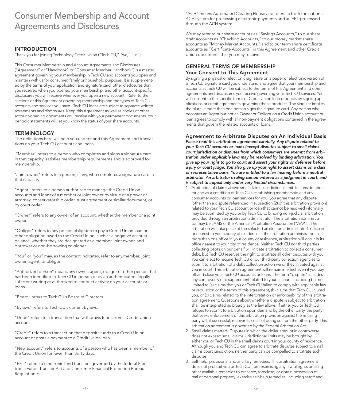# Consumer Membership and Account Agreements and Disclosures

# INTRODUCTION

Thank you for joining Technology Credit Union ("Tech CU," "we," "us").

This Consumer Membership and Account Agreements and Disclosures ("Agreement" or "Handbook" or "Consumer Member Handbook") is a master agreement governing your membership in Tech CU and accounts you open and maintain with us for consumer, family or household purposes. It is supplemented by the terms of your application and signature card, other disclosures that you received when you opened your membership, and other account-specifc disclosures you will receive whenever you open a new account. Refer to the sections of this Agreement governing membership and the types of Tech CU accounts and services you have. Tech CU loans are subject to separate written agreements and disclosures. Keep this Agreement as well as copies of other account-opening documents you receive with your permanent documents. Your periodic statements will let you know the status of your share accounts.

#### **TERMINOLOGY**

The definitions here will help you understand this Agreement and transactions on your Tech CU accounts and loans.

 "Member" refers to a person who completes and signs a signature card in that capacity, satisfes membership requirements and is approved for membership.

"Joint owner" refers to a person, if any, who completes a signature card in that capacity.

"Agent" refers to a person authorized to manage the Credit Union accounts and loans of a member or joint owner by virtue of a power of attorney, conservatorship order, trust agreement or similar document, or by court order.

"Owner" refers to any owner of an account, whether the member or a joint owner.

"Obligor" refers to any person obligated to pay a Credit Union loan or other obligation owed to the Credit Union, such as a negative account balance, whether they are designated as a member, joint owner, and borrower or non-borrowing co-signer.

"You" or "you" may, as the context indicates, refer to any member, joint owner, agent, or obligor.

"Authorized person" means any owner, agent, obligor or other person that has been identifed to Tech CU in person or by an authenticated, legally sufficient writing as authorized to conduct activity on your accounts or loans.

"Board" refers to Tech CU's Board of Directors.

"Bylaws" refers to Tech CU's current Bylaws.

"Debit" refers to a transaction that withdraws funds from a Credit Union account.

"Credit" refers to a transaction that deposits funds to a Credit Union account or posts a payment to a Credit Union loan.

"New account" refers to accounts of a person who has been a member of the Credit Union for fewer than thirty days.

"EFT" refers to electronic fund transfers governed by the federal Electronic Funds Transfer Act and Consumer Financial Protection Bureau Regulation E.

"ACH" means Automated Clearing House and refers to both the national ACH system for processing electronic payments and an EFT processed through the ACH system.

We may refer to our share accounts as "Savings Accounts," to our share draft accounts as "Checking Accounts," to our money market share accounts as "Money Market Accounts," and to our term share certifcate accounts as "Certifcate Accounts" in this Agreement and other Credit Union documents that you may receive.

#### GENERAL TERMS OF MEMBERSHIP Your Consent to This Agreement

By signing a physical or electronic signature on a paper or electronic version of a Tech CU signature card you understand and agree that your membership and accounts at Tech CU will be subject to the terms of this Agreement and other agreements and disclosures you receive governing your Tech CU services. You will consent to the specific terms of Credit Union loan products by signing applications or credit agreements governing those products. The singular implies the plural if more than one person signs the signature card. Any person who becomes an Agent but not an Owner or Obligor on a Credit Union account or loan agrees to comply with all non-payment obligations contained in the agreements that govern the related accounts or loans.

Agreement to Arbitrate Disputes on An Individual Basis

*Please read this arbitration agreement carefully. Any dispute related to your Tech CU accounts or loans (except disputes subject to small claims court jurisdiction or disputes from which consumers are exempt from arbitration under applicable law) may be resolved by binding arbitration. You give up your right to go to court and assert your rights or defenses before a jury or court judge. You also give up your right to assert claims on a class or representative basis. You are entitled to a fair hearing before a neutral arbitrator. An arbitrator's ruling can be entered as a judgment in court, and is subject to appeal only under very limited circumstances.* 

- 1. Arbitration of claims above small claims jurisdictional limit: In consideration for and as a condition of Tech CU's establishing membership and any consumer accounts or loan services for you, you agree that any dispute (other than a dispute referenced in subsection (2) of this arbitration provision) related to your Tech CU account or loan that cannot be resolved informally may be submitted by you or by Tech CU to binding non-judicial arbitration provided through an arbitration administrator. The arbitration administrator may be JAMS or the American Arbitration Association ("AAA"). The arbitration will take place at the selected arbitration administrator's office in or nearest to your county of residence. If the arbitration administrator has more than one office in your county of residence, arbitration will occur in its office nearest to your city of residence. Neither Tech CU nor third parties collecting debts on our behalf will initiate arbitration to collect a consumer debt, but Tech CU reserves the right to arbitrate all other disputes with you. You can elect to require Tech CU or our third-party collection agencies to submit to arbitration of a debt collection action we or they initiated against you in court. This arbitration agreement will remain in effect even if you pay off and close your Tech CU accounts or loans. The term "dispute" includes any controversy or disagreement related to your account, including but not limited to (a) claims that you or Tech CU failed to comply with applicable law or regulation or the terms of this agreement, (b) claims that Tech CU injured you, or (c) claims related to the interpretation or enforceability of this arbitration agreement. Questions about whether a dispute is subject to arbitration shall be interpreted as broadly as the law allows. If either you or Tech CU refuses to submit to arbitration upon demand by the other party, the party that seeks enforcement of this arbitration provision against the refusing party will, if successful, recover its costs of doing so from the other party. This arbitration agreement is governed by the Federal Arbitration Act.
- 2. Small claims matters: Disputes in which the dollar amount in controversy does not exceed small claims jurisdictional limits may be brought by either you or Tech CU in the small claims court in your county of residence. Although you and Tech CU can agree to arbitrate disputes subject to small claims court jurisdiction, neither party can be compelled to arbitrate such disputes.
- 3. Self-help, provisional and ancillary remedies: This arbitration agreement does not prohibit you or Tech CU from exercising any lawful rights or using other available remedies to preserve, foreclose, or obtain possession of real or personal property; exercise self-help remedies, including setoff and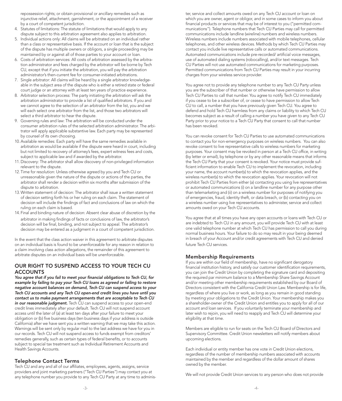repossession rights; or obtain provisional or ancillary remedies such as injunctive relief, attachment, garnishment, or the appointment of a receiver by a court of competent jurisdiction.

- 4. Statutes of limitations: The statute of limitations that would apply to any dispute subject to this arbitration agreement also applies to arbitration.
- 5. Individual actions only: All claims will be arbitrated on an individual rather than a class or representative basis. If the account or loan that is the subject of the dispute has multiple owners or obligors, a single proceeding may be maintained by or against all of those parties to your account or loan.
- 6. Costs of arbitration services: All costs of arbitration assessed by the arbitration administrator and fees charged by the arbitrator will be borne by Tech CU, except that if you initiate the arbitration, you will pay the arbitration administrator's then-current fee for consumer-initiated arbitrations.
- 7. Single arbitrator: All claims will be heard by a single arbitrator knowledgeable in the subject area of the dispute who is either a retired state or federal court judge or an attorney with at least ten years of practice experience.
- 8. Arbitrator selection process: The party initiating the arbitration will ask the arbitration administrator to provide a list of qualifed arbitrators. If you and we cannot agree to the selection of an arbitrator from the list, you and we will each select one arbitrator from the list, and those two arbitrators will select a third arbitrator to hear the dispute.
- 9. Governing rules and law: The arbitration will be conducted under the consumer arbitration rules of the selected arbitration administrator. The arbitrator will apply applicable substantive law. Each party may be represented by counsel of its own choosing.
- 10. Available remedies: Each party will have the same remedies available in arbitration as would be available if the dispute were heard in court, including but not limited to recovery of attorney's fees, expert witness fees and costs, subject to applicable law and if awarded by the arbitrator.
- 11. Discovery: The arbitrator shall allow discovery of non-privileged information relevant to the dispute.
- 12. Time for resolution: Unless otherwise agreed by you and Tech CU or unreasonable given the nature of the dispute or actions of the parties, the arbitrator shall render a decision within six months after submission of the dispute to arbitration.
- 13. Written statement of decision: The arbitrator shall issue a written statement of decision setting forth his or her ruling on each claim. The statement of decision will include the fndings of fact and conclusions of law on which the ruling on each claim is based.
- 14. Final and binding nature of decision: Absent clear abuse of discretion by the arbitrator in making fndings of facts or conclusions of law, the arbitrator's decision will be final, binding, and not subject to appeal. The arbitrator's decision may be entered as a judgment in a court of competent jurisdiction.

In the event that the class action waiver in this agreement to arbitrate disputes on an individual basis is found to be unenforceable for any reason in relation to a claim involving class action allegations, the remainder of this agreement to arbitrate disputes on an individual basis will be unenforceable.

#### OUR RIGHT TO SUSPEND ACCESS TO YOUR TECH CU **ACCOUNTS**

California) after we have sent you a written warning that we may take this action. *You agree that if you fail to meet your fnancial obligations to Tech CU, for example by failing to pay your Tech CU loans as agreed or failing to restore negative account balances on demand, Tech CU can suspend access to your Tech CU accounts and any Tech CU open-end credit lines you have until you contact us to make payment arrangements that are acceptable to Tech CU*  in our reasonable judgment. Tech CU can suspend access to your open-end credit lines immediately after your default. Tech CU will not suspend account access until the later of (a) at least ten days after your failure to meet your obligation or (b) fve business days (ten business days if your address is outside Warnings will be sent only by regular mail to the last address we have for you in our records. Tech CU will not suspend access to funds exempt from creditors' remedies generally, such as certain types of federal benefts, or to accounts subject to special tax treatment such as Individual Retirement Accounts and Health Savings Accounts.

# Telephone Contact Terms

Tech CU and any and all of our affliates, employees, agents, assigns, service providers and joint marketing partners ("Tech CU Parties") may contact you at any telephone number you provide to any Tech CU Party at any time to adminis-

ter, service and collect amounts owed on any Tech CU account or loan on which you are owner, agent or obligor, and in some cases to inform you about fnancial products or services that may be of interest to you ("permitted communications"). Telephone numbers that Tech CU Parties may call for permitted communications include landline (wireline) numbers and wireless numbers. Wireless numbers include numbers associated with mobile telephones, cellular telephones, and other wireless devices. Methods by which Tech CU Parties may contact you include live representative calls or automated communications. Automated communications include pre-recorded/ artificial voice messages, use of automated dialing systems (robocalling), and/or text messages. Tech CU Parties will not use automated communications for marketing purposes. Permitted communications from Tech CU Parties may result in your incurring charges from your wireless service provider.

You agree not to provide any telephone number to any Tech CU Party unless you are the subscriber of that number or otherwise have permission to allow .<br>Tech CU Parties to call that number. You agree to notify Tech CU immediately if you cease to be a subscriber of, or cease to have permission to allow Tech CU to call, a number that you have previously given Tech CU. You agree to defend and hold Tech CU harmless from any claims or liability to which Tech CU becomes subject as a result of calling a number you have given to any Tech CU Party prior to your notice to a Tech CU Party that consent to call that number has been revoked.

You can revoke consent for Tech CU Parties to use automated communications to contact you for non-emergency purposes on wireless numbers. You can also revoke consent to live representative calls to wireless numbers for marketing purposes. Your consent may be revoked in person at a Tech CU office, in writing (by letter or email), by telephone or by any other reasonable means that informs the Tech CU Party that your consent is revoked. Your notice must provide sufficient information to enable Tech CU to implement the revocation, including your name, the account number(s) to which the revocation applies, and the wireless number(s) to which the revocation applies. Your revocation will not prohibit Tech CU Parties from either (a) contacting you using live representatives or automated communications (i) on a landline number for any purpose other than telemarketing and (ii) on a wireless number for purposes of notifying you of emergencies, fraud, identity theft, or data breach, or (b) contacting you on a wireless number using live representatives to administer, service and collect amounts owed on your Tech CU accounts.

You agree that at all times you have any open accounts or loans with Tech CU or are indebted to Tech CU in any amount, you will provide Tech CU with at least one valid telephone number at which Tech CU has permission to call you during normal business hours. Your failure to do so may result in your being deemed in breach of your Account and/or credit agreements with Tech CU and denied future Tech CU services.

#### Membership Requirements

If you are within our field of membership, have no significant derogatory financial institution history, and satisfy our customer identification requirements, you can join the Credit Union by completing the signature card and depositing the required par minimum balance to a Membership Share Savings Account and/or meeting other membership requirements established by our Board of Directors consistent with the California Credit Union Law. Membership is for life, regardless of where you live or work, as long as you remain in good standing by meeting your obligations to the Credit Union. Your membership makes you a shareholder-owner of the Credit Union and entitles you to apply for all of our account and loan services. If you voluntarily terminate your membership and later wish to rejoin, you will need to reapply and Tech CU will determine your eligibility at that time.

Members are eligible to run for seats on the Tech CU Board of Directors and Supervisory Committee. Credit Union newsletters will notify members about upcoming elections.

Each individual or entity member has one vote in Credit Union elections, regardless of the number of membership numbers associated with accounts maintained by the member and regardless of the dollar amount of shares owned by the member.

We will not provide Credit Union services to any person who does not provide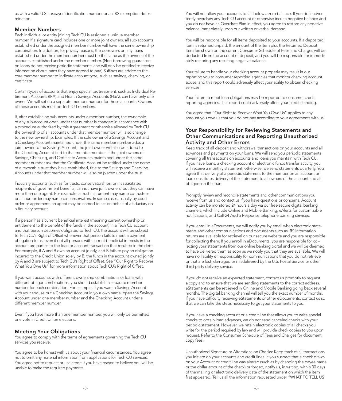us with a valid U.S. taxpayer identifcation number or an IRS exemption determination.

#### Member Numbers

Each individual or entity joining Tech CU is assigned a unique member number. If a signature card includes one or more joint owners, all sub-accounts established under the assigned member number will have the same ownership combination. In addition, for privacy reasons, the borrowers on any loans established under the member number must be the same as the owners of the accounts established under the member number. (Non-borrowing guarantors on loans do not receive periodic statements and will only be entitled to receive information about loans they have agreed to pay.) Suffxes are added to the core member number to indicate account type, such as savings, checking, or certifcate.

Certain types of accounts that enjoy special tax treatment, such as Individual Retirement Accounts (IRA) and Health Savings Accounts (HSA), can have only one owner. We will set up a separate member number for those accounts. Owners of these accounts must be Tech CU members.

If, after establishing sub-accounts under a member number, the ownership of any sub-account open under that number is changed in accordance with a procedure authorized by this Agreement or otherwise allowed by Tech CU, the ownership of all accounts under that member number will also change to the new ownership. Examples: If the sole owner of a Savings Account and a Checking Account maintained under the same member number adds a joint owner to the Savings Account, the joint owner will also be added to the Checking Account tied to that member number. If the joint owners of Savings, Checking, and Certificate Accounts maintained under the same member number ask that the Certificate Account be retitled under the name of a revocable trust they have established, title to the Savings and Checking Accounts under that member number will also be placed under the trust.

Fiduciary accounts (such as for trusts, conservatorships, or incapacitated recipients of government benefts) cannot have joint owners, but they can have more than one agent. For example, a trust instrument may name co-trustees, or a court order may name co-conservators. In some cases, usually by court order or agreement, an agent may be named to act on behalf of a fiduciary on a fiduciary account.

If a person has a current beneficial interest (meaning current ownership or entitlement to the beneft of the funds in the account) in a Tech CU account and that person becomes obligated to Tech CU, the account will be subject to Tech CU's Right of Offset whenever that person fails to meet a payment obligation to us, even if not all persons with current beneficial interests in the account are parties to the loan or account transaction that resulted in the debt. For example, if A and B own an account jointly, and B fails to pay an obligation incurred to the Credit Union solely by B, the funds in the account owned jointly by A and B are subject to Tech CU's Right of Offset. See "Our Right to Recover What You Owe Us" for more information about Tech CU's Right of Offset.

If you want accounts with different ownership combinations or loans with different obligor combinations, you should establish a separate member number for each combination. For example, if you want a Savings Account with your spouse but a Checking Account in your own name, open the Savings Account under one member number and the Checking Account under a different member number.

Even if you have more than one member number, you will only be permitted one vote in Credit Union elections.

# Meeting Your Obligations

You agree to comply with the terms of agreements governing the Tech CU services you receive.

You agree to be honest with us about your financial circumstances. You agree not to omit any material information from applications for Tech CU services. You agree not to request or use credit if you have reason to believe you will be unable to make the required payments.

You will not allow your accounts to fall below a zero balance. If you do inadvertently overdraw any Tech CU account or otherwise incur a negative balance and you do not have an Overdraft Plan in effect, you agree to restore any negative balance immediately upon our written or verbal demand.

You will be responsible for all items deposited to your accounts. If a deposited item is returned unpaid, the amount of the item plus the Returned Deposit Item fee shown on the current Consumer Schedule of Fees and Charges will be deducted from the account of deposit, and you will be responsible for immediately restoring any resulting negative balance.

Your failure to handle your checking account properly may result in our reporting you to consumer reporting agencies that monitor checking account abuse, and this report could adversely affect your ability to obtain checking services.

Your failure to meet loan obligations may be reported to consumer credit reporting agencies. This report could adversely affect your credit standing.

You agree that "Our Right to Recover What You Owe Us" applies to any amount you owe us that you do not pay according to your agreements with us.

# Your Responsibility for Reviewing Statements and Other Communications and Reporting Unauthorized Activity and Other Errors

Keep track of all deposit and withdrawal transactions on your accounts and all advances and payments on your loans. We will send you periodic statements covering all transactions on accounts and loans you maintain with Tech CU. If you have loans, a checking account or electronic funds transfer activity, you will receive a monthly statement; otherwise, we send statements quarterly. You agree that delivery of a periodic statement to the member on an account or loan constitutes delivery of the statement to all owners of the account and all obligors on the loan.

Promptly review and reconcile statements and other communications you receive from us and contact us if you have questions or concerns. Account activity can be monitored 24 hours a day via our free secure digital banking channels, which include Online and Mobile Banking, eAlerts for customizable notifcations, and Call-24 Audio Response telephone banking services.

If you enroll in eDocuments, we will notify you by email when electronic statements and other communications and documents such as IRS information returns are available for retrieval on our secure website and you are responsible for collecting them. If you enroll in eDocuments, you are responsible for collecting your statements from our online banking portal and we will be deemed to have delivered them as soon as we notify you that they are available. We will have no liability or responsibility for communications that you do not retrieve or that are lost, damaged or misdelivered by the U.S. Postal Service or other third-party delivery service.

If you do not receive an expected statement, contact us promptly to request a copy and to ensure that we are sending statements to the correct address. eStatements can be retrieved in Online and Mobile Banking going back several months. The digital banking channel will tell you the exact number of months. If you have difficulty receiving eStatements or other eDocuments, contact us so that we can take the steps necessary to get your statements to you.

If you have a checking account or a credit line that allows you to write special checks to obtain loan advances, we do not send canceled checks with your periodic statement. However, we retain electronic copies of all checks you write for the period required by law and will provide check copies to you upon request. Refer to the Consumer Schedule of Fees and Charges for document copy fees.

Unauthorized Signature or Alterations on Checks: Keep track of all transactions you initiate on your accounts and credit lines. If you suspect that a check drawn on your Account or credit line was altered (such as by changing the payee name or the dollar amount of the check) or forged, notify us, in writing, within 30 days of the mailing or electronic delivery date of the statement on which the item frst appeared. Tell us all the information requested under "WHAT TO TELL US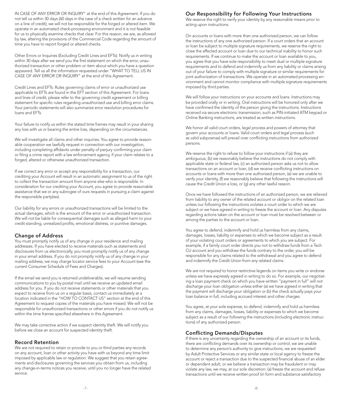IN CASE OF ANY ERROR OR INQUIRY" at the end of this Agreement. If you do not tell us within 30 days (60 days in the case of a check written for an advance on a line of credit), we will not be responsible for the forged or altered item. We operate in an automated check-processing environment and it is not feasible for us to physically examine checks that clear. For this reason, we are, as allowed by law, altering the provisions of the Commercial Code regarding the amount of time you have to report forged or altered checks.

Other Errors or Inquiries (Excluding Credit Lines and EFTs): Notify us in writing within 30 days after we send you the first statement on which the error, unauthorized transaction or other problem or item about which you have a question appeared. Tell us all the information requested under "WHAT TO TELL US IN CASE OF ANY ERROR OR INQUIRY" at the end of this Agreement.

Credit Lines and EFTs: Rules governing claims of error or unauthorized use applicable to EFTs are found in the EFT section of this Agreement. For loans and lines of credit, please refer to the governing credit agreement or billing statement for specific rules regarding unauthorized use and billing error claims. Your periodic statements will also summarize error resolution procedures for loans and EFTs.

Your failure to notify us within the stated time frames may result in your sharing any loss with us or bearing the entire loss, depending on the circumstances.

We will investigate all claims and other inquiries. You agree to provide reasonable cooperation we lawfully request in connection with our investigation, including completing affidavits under penalty of perjury confirming your claim or fling a crime report with a law enforcement agency, if your claim relates to a forged, altered or otherwise unauthorized transaction.

If we correct any error or accept any responsibility for a transaction, our crediting your Account will result in an automatic assignment to us of the right to collect the transaction amount from anyone else who is responsible. In consideration for our crediting your Account, you agree to provide reasonable assistance that we or any subrogee of ours requests in pursuing a claim against the responsible party(ies).

Our liability for any errors or unauthorized transactions will be limited to the actual damages, which is the amount of the error or unauthorized transaction. We will not be liable for consequential damages such as alleged harm to your credit standing, unrealized profits, emotional distress, or punitive damages.

# Change of Address

You must promptly notify us of any change in your residence and mailing addresses. If you have elected to receive materials such as statements and disclosures from us electronically, you must promptly notify us of any change in your email address. If you do not promptly notify us of any change in your mailing address, we may charge locator service fees to your Account (see the current Consumer Schedule of Fees and Charges).

If the email we send you is returned undeliverable, we will resume sending communications to you by postal mail until we receive an updated email address for you. If you do not receive statements or other materials that you expect to receive from us on a regular basis, contact us immediately at a location indicated in the "HOW TO CONTACT US" section at the end of this Agreement to request copies of the materials you have missed. We will not be responsible for unauthorized transactions or other errors if you do not notify us within the time frames specifed elsewhere in this Agreement.

We may take corrective action if we suspect identity theft. We will notify you before we close an account for suspected identity theft.

#### Record Retention

We are not required to retain or provide to you or third parties any records on any account, loan or other activity you have with us beyond any time limit imposed by applicable law or regulation. We suggest that you retain agreements and disclosures governing the services you obtain from us, including any change-in-terms notices you receive, until you no longer have the related service.

# Our Responsibility for Following Your Instructions

We reserve the right to verify your identity by any reasonable means prior to acting upon instructions.

On accounts or loans with more than one authorized person, we can follow the instructions of any one authorized person. If a court orders that an account or loan be subject to multiple signature requirements, we reserve the right to close the affected account or loan due to our technical inability to honor such requirements. If we continue to make the account or loan available to you, you agree that you have sole responsibility to meet dual or multiple signature requirements and to defend and indemnify us from any liability or claims arising out of your failure to comply with multiple signature or similar requirements for joint authorization of transactions. We operate in an automated processing environment and cannot monitor compliance with multiple signature requirements imposed by third parties.

We will follow your instructions on your accounts and loans. Instructions may be provided orally or in writing. Oral instructions will be honored only after we have confrmed the identity of the person giving the instructions. Instructions received via secure electronic transmission, such as PIN-initiated ATM keypad or Online Banking instructions, are treated as written instructions.

We honor all valid court orders, legal process and powers of attorney that govern your accounts or loans. Valid court orders and legal process (such as valid subpoenas) will prevail over conficting instructions from authorized persons.

We reserve the right to refuse to follow your instructions if (a) they are ambiguous, (b) we reasonably believe the instructions do not comply with applicable state or federal law, (c) an authorized person asks us not to allow transactions on an account or loan, (d) we receive conficting instructions on accounts or loans with more than one authorized person, (e) we are unable to verify your identity, (f) we reasonably believe that following the instructions will cause the Credit Union a loss, or (g) any other lawful reason.

Once we have followed the instructions of an authorized person, we are relieved from liability to any owner of the related account or obligor on the related loan unless our following the instructions violates a court order to which we are subject or we have agreed in writing to freeze the account or loan. Any disputes regarding actions taken on the account or loan must be resolved between or among the parties to the account or loan.

You agree to defend, indemnify and hold us harmless from any claims, damages, losses, liability or expenses to which we become subject as a result of your violating court orders or agreements to which you are subject. For example, if a family court order directs you not to withdraw funds from a Tech CU account and you withdraw the funds contrary to the order, you will be responsible for any claims related to the withdrawal and you agree to defend and indemnify the Credit Union from any related claims.

We are not required to honor restrictive legends on items you write or endorse unless we have expressly agreed in writing to do so. For example, our negotiating a loan payment check on which you have written "payment in full" will not discharge your loan obligation unless either (a) we have agreed in writing that the payment will discharge your obligation or (b) the check actually pays your loan balance in full, including accrued interest and other charges.

You agree, at your sole expense, to defend, indemnify and hold us harmless from any claims, damages, losses, liability or expenses to which we become subject as a result of our following the instructions (including electronic instructions) of any authorized person.

# Conficting Demands/Disputes

If there is any uncertainty regarding the ownership of an account or its funds, there are conficting demands over its ownership or control, we are unable to determine any person's authority to give instructions, we are requested by Adult Protective Services or any similar state or local agency to freeze the account or reject a transaction due to the suspected fnancial abuse of an elder or dependent adult, or we believe a transaction may be fraudulent or may violate any law, we may, at our sole discretion: (a) freeze the account and refuse transactions until we receive written proof (in form and substance satisfactory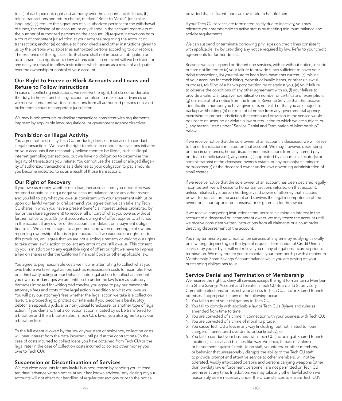to us) of each person's right and authority over the account and its funds; (b) refuse transactions and return checks, marked "Refer to Maker" (or similar language); (c) require the signatures of all authorized persons for the withdrawal of funds, the closing of an account, or any change in the account regardless of the number of authorized persons on the account; (d) request instructions from a court of competent jurisdiction at your expense regarding the account or transactions; and/or (e) continue to honor checks and other instructions given to us by the persons who appear as authorized persons according to our records. The existence of the rights set forth above shall not impose an obligation on us to assert such rights or to deny a transaction. In no event will we be liable for any delay or refusal to follow instructions which occurs as a result of a dispute over the ownership or control of your account.

# Our Right to Freeze or Block Accounts and Loans and Refuse to Follow Instructions

In case of conficting instructions, we reserve the right, but do not undertake the duty, to freeze funds in any account or refuse to make loan advances until we receive consistent written instructions from all authorized persons or a valid order from a court of competent jurisdiction.

We may block accounts or decline transactions consistent with requirements imposed by applicable laws, regulations, or government agency directives.

# Prohibition on Illegal Activity

You agree not to use any Tech CU products, devices, or services to conduct illegal transactions. We have the right to refuse to conduct transactions initiated on your accounts if we reasonably believe them to be illegal, such as illegal internet gambling transactions, but we have no obligation to determine the legality of transactions you initiate. You cannot use the actual or alleged illegality of authorized transactions as a defense to your obligation to pay amounts you become indebted to us as a result of those transactions.

#### Our Right of Recovery

If you owe us money, whether on a loan, because an item you deposited was returned unpaid causing a negative account balance, or for any other reason, and you fail to pay what you owe us consistent with your agreement with us or upon our lawful written or oral demand, you agree that we can take any Tech CU shares in which you have a present beneficial interest (unless prohibited by law or the share agreement) to recover all or part of what you owe us without further notice to you. On joint accounts, our right of offset applies to all funds in the account if any owner of the account is in default on a payment obligation to us. We are not subject to agreements between or among joint owners regarding ownership of funds in joint accounts. If we exercise our rights under this provision, you agree that we are not electing a remedy or waiving our rights to take other lawful action to collect any amount you still owe us. This consent by you is in addition to any equitable right of offset or right we have to impress a lien on shares under the California Financial Code or other applicable law.

You agree to pay reasonable costs we incur in attempting to collect what you owe before we take legal action, such as repossession costs for example. If we or a third party acting on our behalf initiate legal action to collect an amount you owe us or damages we are entitled to under the law (such as statutory damages imposed for writing bad checks), you agree to pay our reasonable attorney's fees and costs of the legal action in addition to what you owe us. You will pay our attorney's fees whether the legal action we take is a collection lawsuit, a proceeding to protect our interests if you become a bankruptcy debtor, an appeal, a judicial or non-judicial foreclosure, or another type of legal action. If you demand that a collection action initiated by us be transferred to arbitration and the arbitrator rules in Tech CU's favor, you also agree to pay our arbitration fees.

To the full extent allowed by the law of your state of residence, collection costs will bear interest from the date incurred until paid at the contract rate (in the case of costs incurred to collect loans you have obtained from Tech CU) or the legal rate (in the case of collection costs incurred to collect other money you owe to Tech CU).

# Suspension or Discontinuation of Services

We can close accounts for any lawful business reason by sending you at least ten days' advance written notice at your last known address. Any closing of your accounts will not affect our handling of regular transactions prior to the notice,

provided that sufficient funds are available to handle them.

If your Tech CU services are terminated solely due to inactivity, you may reinstate your membership to active status by meeting minimum balance and activity requirements.

We can suspend or terminate borrowing privileges on credit lines consistent with applicable law by providing any notice required by law. Refer to your credit agreements for further details.

Reasons we can suspend or discontinue services, with or without notice, include but are not limited to (a) your failure to provide funds sufficient to cover your debit transactions, (b) your failure to keep loan payments current, (c) misuse of your accounts for check kiting, deposit of invalid items, or other unlawful purposes, (d) fling of a bankruptcy petition by or against you, (e) your failure to observe the conditions of any other agreement with us, (f) your failure to provide a valid U.S. taxpayer identification number or certificate of exemption, (g) our receipt of a notice from the Internal Revenue Service that the taxpayer identifcation number you have given us is not valid or that you are subject to backup withholding, (h) our receipt of notice from any governmental agency exercising its proper jurisdiction that continued provision of the service would be unsafe or unsound or violate a law or regulation to which we are subject, or (i) any reason listed under "Service Denial and Termination of Membership" below.

If we receive notice that the sole owner of an account is deceased, we will cease to honor transactions initiated on that account. We may, however, depending on the circumstances, honor disbursement instructions from any named payon-death beneficiary(ies), any person(s) appointed by a court as executor(s) or administrator(s) of the deceased owner's estate, or any person(s) claiming to be successor(s) of the deceased owner under laws governing administration of small estates.

If we receive notice that the sole owner of an account has been declared legally incompetent, we will cease to honor transactions initiated on that account, unless initiated by a person holding a valid power of attorney that includes power to transact on the account and survives the legal incompetence of the owner or a court-appointed conservator or guardian for the owner.

If we receive competing instructions from persons claiming an interest in the account of a deceased or incompetent owner, we may freeze the account until we receive consistent written instructions from all claimants or a court order directing disbursement of the account.

You may terminate your Credit Union services at any time by notifying us orally or in writing, depending on the type of request. Termination of Credit Union services by you or by us will not relieve you of any obligations incurred prior to termination. We may require you to maintain your membership with a minimum Membership Share Savings Account balance while you are paying off your outstanding obligations to us.

#### Service Denial and Termination of Membership

We reserve the right to deny all services except the right to maintain a Membership Share Savings Account and to vote in Tech CU Board and Supervisory Committee elections, or restrict your access to Tech CU and/or Shared Branch premises if appropriate, if any of the following occur:

- 1. You fail to meet your obligations to Tech CU;
- 2. You fail to comply with applicable law or Tech CU's Bylaws and rules as amended from time to time;
- 3. You are convicted of a crime in connection with your business with Tech CU;
- 4. You are convicted of a crime of moral turpitude;
- 5. You cause Tech CU a loss in any way (including, but not limited to, loan charge-off, unrestored overdrafts, or bankruptcy); or
- 6. You fail to conduct your business with Tech CU (including at Shared Branch locations) in a civil and businesslike way. Violence, threats of violence, or harassment against Credit Union staff, volunteers, or other members, or behavior that unreasonably disrupts the ability of the Tech CU staff to provide prompt and attentive service to other members, will not be tolerated. Visibly intoxicated persons and persons carrying weapons (other than on-duty law enforcement personnel) are not permitted on Tech CU premises at any time. In addition, we may take any other lawful action we reasonably deem necessary under the circumstances to ensure Tech CU's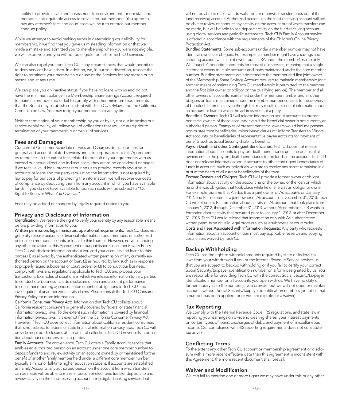ability to provide a safe and harassment-free environment for our staff and members and equitable access to service for our members. You agree to pay any attorney's fees and court costs we incur to enforce our member conduct policy.

While we attempt to avoid making errors in determining your eligibility for membership, if we fnd that you gave us misleading information or that we made a mistake and admitted you to membership when you were not eligible, we will expel you and you will not be eligible for further Tech CU services.

We can also expel you from Tech CU if any circumstances that would permit us to deny services have arisen. In addition, we, in our sole discretion, reserve the right to terminate your membership or use of the Services for any reason or no reason and at any time.

We can place you on inactive status if you have no loans with us and do not have the minimum balance in a Membership Share Savings Account required to maintain membership or fail to comply with other minimum requirements that the Board may establish consistent with Tech CU's Bylaws and the California Credit Union Law. You may resign your membership at any time.

Neither termination of your membership by you or by us, nor our imposing our service denial policy, will relieve you of obligations that you incurred prior to termination of your membership or denial of services.

#### Fees and Damages

Our current Consumer Schedule of Fees and Charges details our fees for general and account-related services and is incorporated into this Agreement by reference. To the extent fees related to default of your agreements with us exceed our actual direct and indirect costs, they are to be considered damages. If we receive valid legal process requiring us to provide records about your accounts or loans and the party requesting the information is not required by law to pay for our costs of providing the information, we will recover our costs of compliance by deducting them from any account in which you have available funds. If you do not have available funds, such costs will be subject to "Our Right to Recover What You Owe Us."

Fees may be added or changed by legally required notice to you.

#### Privacy and Disclosure of Information

Identification: We reserve the right to verify your identity by any reasonable means before providing information to you.

Written permission, legal mandates, operational requirements: Tech CU does not generally release personal or fnancial information about members or authorized persons on member accounts or loans to third parties. However, notwithstanding any other provision of this Agreement or our published Consumer Privacy Policy, Tech CU will disclose information about you and your accounts and loans to third parties (1) as allowed by the authenticated written permission of any currently authorized person on the account or loan, (2) as required by law, such as in response to properly issued subpoenas or court orders, or (3) to conduct our business, comply with laws and regulations applicable to Tech CU, and process your transactions. Examples of situations in which we release information to third parties to conduct our business include disclosure of loan and account performance to consumer reporting agencies, enforcement of obligations to Tech CU, and investigation of unauthorized activity claims. Please consult the Tech CU Consumer Privacy Policy for more information.

 information privacy laws, it is exempt from the California Consumer Privacy Act. California Consumer Privacy Act: Information that Tech CU collects about California resident consumers is generally covered by federal or state fnancial information privacy laws. To the extent such information is covered by fnancial However, if Tech CU does collect information about California resident consumers that is not subject to federal or state fnancial information privacy laws, Tech CU will provide required disclosures at the point of collection. Tech CU never sells information about our consumers to third parties.

Family Accounts: For convenience, Tech CU offers a Family Account service that enables an authorized person on an account under one core member number to deposit funds to and review activity on an account owned by or maintained for the beneft of another family member held under a different core member number, typically a minor or full-time higher education student. If accounts are established as Family Accounts, any authorized person on the account from which transfers can be made will be able to make in-person or electronic transfer deposits to and review activity on the fund-receiving account using digital banking services, but

will not be able to make withdrawals from or otherwise transfer funds out of the fund-receiving account. Authorized persons on the fund-receiving account will not be able to review or conduct any activity on the account out of which transfers can be made, but will be able to see deposit activity on the fund-receiving account using digital services and periodic statements. Tech CU's Family Account service is offered in accordance with the requirements of the Children's Online Privacy Protection Act.

Bundled Statements: Some sub-accounts under a member number may not have identical owners or obligors. For example, a member might have a savings and checking account with a joint owner but an IRA under the member's name only. We "bundle" periodic statements for most of our services, meaning that a single statement covers multiple accounts and loans maintained under the core member number. Bundled statements are addressed to the member and frst joint owner of the Membership Share Savings Account required to maintain membership (or if another means of maintaining Tech CU membership is permitted, to the member and the frst joint owner or obligor on the qualifying service). The member and all other owners of accounts maintained under the member number and all other obligors on loans maintained under the member number consent to the delivery of bundled statements, even though this may result in release of information about an account or loan to which the addressee is not a party.

Beneficial Owners: Tech CU will release information about accounts to present beneficial owners of those accounts, even if the beneficial owner is not currently an authorized person. Examples of present beneficial owners would include present non-trustee trust benefciaries, minor benefciaries of Uniform Transfers to Minors Act accounts, or beneficiaries of representative payee accounts for payment of benefits such as Social Security disability benefits.

Pay-on-Death and other Contingent Beneficiaries: Tech CU does not release information about accounts to pay-on-death benefciaries until the deaths of all owners entitle the pay-on-death beneficiaries to the funds in the account. Tech CU does not release information about accounts to other contingent benefciaries of funds in accounts, such as individuals who are to receive any assets remaining in a trust at the death of all current beneficiaries of the trust.

Former Owners and Obligors: Tech CU will provide a former owner or obligor information about activity on the account he or she owned or the loan on which he or she was obligated that took place while he or she was an obligor or owner. For example, assume that A adds B as a joint owner of A's accounts on January 1, 2012, and B is deleted as a joint owner of A's accounts on December 31, 2013. Tech CU will release to B information about activity on A's account that took place from January 1, 2012, through December 31, 2013, without A's permission. If B wants information about activity that occurred prior to January 1, 2012, or after December 31, 2013, Tech CU would release that information only with A's authenticated written permission or valid legal process such as a subpoena or court order. Costs and Fees Associated with Information Requests: Any party who requests information about an account or loan must pay applicable research and copying costs unless waived by Tech CU.

# Backup Withholding

Tech CU has the right to withhold amounts required by state or federal tax laws from your withdrawals if you or the Internal Revenue Service advises us that you are subject to backup withholding or if you fail to certify your correct Social Security/taxpayer identifcation number on a form designated by us. You are responsible for providing Tech CU with the correct Social Security/taxpayer identifcation number on all accounts you open with us. We have no duty of further inquiry as to the number(s) you provide, but we will not open or maintain accounts without Social Security/taxpayer identifcation numbers (or notice that a number has been applied for or you are eligible for a waiver).

#### Tax Reporting

We comply with the Internal Revenue Code, IRS regulations, and state law in reporting your earnings on dividend-bearing shares, your interest payments on certain types of loans, discharges of debt, and payment of miscellaneous income. Our compliance with IRS reporting requirements does not constitute tax advice.

#### Conficting Terms

To the extent any other Tech CU account or membership agreement or disclosure with a more recent effective date than this Agreement is inconsistent with this Agreement, the more recent document shall prevail.

# Waiver and Modifcation

We can fail to exercise one or more rights we may have under this or any other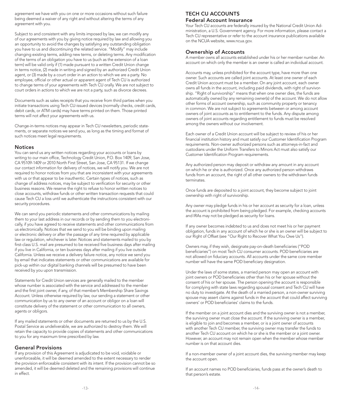agreement we have with you on one or more occasions without such failure being deemed a waiver of any right and without altering the terms of any agreement with you.

Subject to and consistent with any limits imposed by law, we can modify any of our agreements with you by giving notice required by law and allowing you an opportunity to avoid the changes by satisfying any outstanding obligation you have to us and discontinuing the related service. "Modify" may include changing existing terms, adding new terms, or deleting terms. Any modifcation of the terms of an obligation you have to us (such as the extension of a loan term) will be valid only if (1) made pursuant to a written Credit Union change in terms notice, (2) made in writing and signed by an authorized Credit Union agent, or (3) made by a court order in an action to which we are a party. No employee, official or other actual or apparent agent of Tech CU is authorized to change terms of your agreements with Tech CU orally. We are not subject to court orders in actions to which we are not a party, such as divorce decrees.

Documents such as sales receipts that you receive from third parties when you initiate transactions using Tech CU-issued devices (normally checks, credit cards, debit cards, or ATM cards) may have terms printed on them. Those printed terms will not affect your agreements with us.

Change-in-terms notices may appear in Tech CU newsletters, periodic statements, or separate notices we send you, as long as the timing and format of such notices meet legal requirements.

#### **Notices**

You can send us any written notices regarding your accounts or loans by writing to our main office, Technology Credit Union, P.O. Box 1409, San Jose, CA 95109-1409 or 2010 North First Street, San Jose, CA 95131. If we change our contact information for delivery of notices, we will notify you. We are not required to honor notices from you that are inconsistent with your agreements with us or that appear to be inauthentic. Certain types of notices, such as change of address notices, may be subject to verifcation for security or other business reasons. We reserve the right to refuse to honor written notices to close accounts, withdraw funds or other written transaction requests that could cause Tech CU a loss until we authenticate the instructions consistent with our security procedures.

We can send you periodic statements and other communications by mailing them to your last address in our records or by sending them to you electronically, if you have agreed to receive statements and other communications from us electronically. Notices that we send to you will be binding upon mailing or electronic delivery or after the passage of any time required by applicable law or regulation, whichever is later. Notices and statements mailed to you by first-class U.S. mail are presumed to be received five business days after mailing if you live in California, or ten business days after mailing if you live outside California. Unless we receive a delivery failure notice, any notice we send you by email that indicates statements or other communications are available for pick-up within our digital banking channels will be presumed to have been received by you upon transmission.

Statements for Credit Union services are generally mailed to the member whose number is associated with the service and addressed to the member and the frst joint owner, if any, of that member's Membership Share Savings Account. Unless otherwise required by law, our sending a statement or other communication by us to any owner of an account or obligor on a loan will constitute delivery of the statement or other communication to all owners, agents or obligors.

If any mailed statements or other documents are returned to us by the U.S. Postal Service as undeliverable, we are authorized to destroy them. We will retain the capacity to provide copies of statements and other communications to you for any maximum time prescribed by law.

# General Provisions

If any provision of this Agreement is adjudicated to be void, voidable or unenforceable, it will be deemed amended to the extent necessary to render the provision enforceable consistent with its intent. If the provision cannot be so amended, it will be deemed deleted and the remaining provisions will continue in effect.

# TECH CU ACCOUNTS Federal Account Insurance

Your Tech CU accounts are federally insured by the National Credit Union Administration, a U.S. Government agency. For more information, please contact a Tech CU representative or refer to the account insurance publications available on the NCUA website, [www.ncua.gov.](www.ncua.gov)

#### Ownership of Accounts

A member owns all accounts established under his or her member number. An account on which only the member is an owner is called an individual account.

Accounts may, unless prohibited for the account type, have more than one owner. Such accounts are called joint accounts. At least one owner of each Credit Union account must be a member. On any joint account, each owner owns all funds in the account, including paid dividends, with right of survivorship. "Right of survivorship" means that when one owner dies, the funds are automatically owned by any remaining owner(s) of the account. We do not allow other forms of account ownership, such as community property or tenancy in common. We are not subject to agreements between or among account owners of joint accounts as to entitlement to the funds. Any dispute among owners of joint accounts regarding entitlement to funds must be resolved among the owners without our involvement.

Each owner of a Credit Union account will be subject to review of his or her fnancial institution history and must satisfy our Customer Identifcation Program requirements. Non-owner authorized persons such as attorneys-in-fact and custodians under the Uniform Transfers to Minors Act must also satisfy our Customer Identifcation Program requirements.

Any authorized person may deposit or withdraw any amount in any account on which he or she is authorized. Once any authorized person withdraws funds from an account, the right of all other owners to the withdrawn funds terminates.

Once funds are deposited to a joint account, they become subject to joint ownership with right of survivorship.

Any owner may pledge funds in his or her account as security for a loan, unless the account is prohibited from being pledged. For example, checking accounts and IRAs may not be pledged as security for loans.

If any owner becomes indebted to us and does not meet his or her payment obligation, funds in any account of which he or she is an owner will be subject to our Right of Offset (see "Our Right to Recover What You Owe Us").

Owners may, if they wish, designate pay-on-death beneficiaries ("POD beneficiaries") on most Tech CU consumer accounts. POD beneficiaries are not allowed on fduciary accounts. All accounts under the same core member number will have the same POD beneficiary designation.

Under the laws of some states, a married person may open an account with joint owners or POD beneficiaries other than his or her spouse without the consent of his or her spouse. The person opening the account is responsible for complying with state laws regarding spousal consent and Tech CU will have no duty to investigate. At the death of a married person, a non-owner surviving spouse may assert claims against funds in the account that could affect surviving owners' or POD beneficiaries' claims to the funds.

If the member on a joint account dies and the surviving owner is not a member, the surviving owner must close the account. If the surviving owner is a member, is eligible to join and becomes a member, or is a joint owner of accounts with another Tech CU member, the surviving owner may transfer the funds to another Tech CU account on which he or she is the member or a joint owner. However, an account may not remain open when the member whose member number is on that account dies.

If a non-member owner of a joint account dies, the surviving member may keep the account open.

If an account names no POD beneficiaries, funds pass at the owner's death to that person's estate.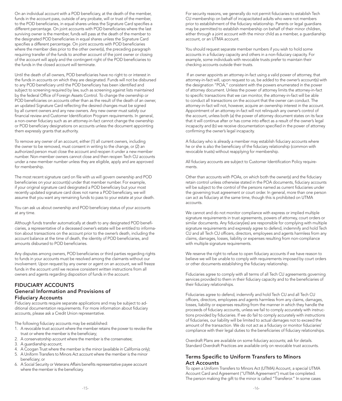On an individual account with a POD beneficiary, at the death of the member, funds in the account pass, outside of any probate, will or trust of the member, to the POD beneficiaries, in equal shares unless the Signature Card specifies a different percentage. On joint accounts with POD beneficiaries where the last surviving owner is the member, funds will pass at the death of the member to the designated POD beneficiaries in equal shares unless the Signature Card specifies a different percentage. On joint accounts with POD beneficiaries where the member dies prior to the other owner(s), the preceding paragraph requiring transfer of the funds to another account of the joint owner or closing of the account will apply and the contingent right of the POD benefciaries to the funds in the closed account will terminate.

Until the death of all owners, POD benefciaries have no right to or interest in the funds in accounts on which they are designated. Funds will not be disbursed to any POD beneficiary until the POD beneficiary has been identified and subject to screening required by law, such as screening against lists maintained by the federal Office of Foreign Assets Control. To change the ownership or POD beneficiaries on accounts other than as the result of the death of an owner, an updated Signature Card refecting the desired changes must be signed by all current owners and any new owners. Any new owner must satisfy our financial review and Customer Identification Program requirements. In general, a non-owner fduciary such as an attorney-in-fact cannot change the ownership or POD benefciary designations on accounts unless the document appointing them expressly grants that authority.

To remove any owner of an account, either (1) all current owners, including the owner to be removed, must consent in writing to the change, or (2) an authorized person must close the account and reopen it under a new member number. Non-member owners cannot close and then reopen Tech CU accounts under a new member number unless they are eligible, apply and are approved for membership.

The most recent signature card on fle with us will govern ownership and POD beneficiaries on your account(s) under that member number. For example, if your original signature card designated a POD beneficiary but your most recently updated signature card does not name a POD beneficiary, we will assume that you want any remaining funds to pass to your estate at your death.

You can ask us about ownership and POD beneficiary status of your accounts at any time.

Although funds transfer automatically at death to any designated POD benefciaries, a representative of a deceased owner's estate will be entitled to information about transactions on the account prior to the owner's death, including the account balance at the time of death, the identity of POD benefciaries, and amounts disbursed to POD beneficiaries.

Any disputes among owners, POD beneficiaries or third parties regarding rights to funds in your accounts must be resolved among the claimants without our involvement. Upon request by any owner or agent on an account, we will freeze funds in the account until we receive consistent written instructions from all owners and agents regarding disposition of funds in the account.

# FIDUCIARY ACCOUNTS General Information and Provisions of Fiduciary Accounts

Fiduciary accounts require separate applications and may be subject to additional documentation requirements. For more information about fduciary accounts, please ask a Credit Union representative.

The following fiduciary accounts may be established:

- 1. A revocable trust account where the member retains the power to revoke the trust or where the member is the beneficiary;
- 2. A conservatorship account where the member is the conservatee;
- 3. A guardianship account;
- 4. A Coogan Trust where the member is the minor (available in California only);
- 5. A Uniform Transfers to Minors Act account where the member is the minor beneficiary; or
- 6. A Social Security or Veterans Affairs benefts representative payee account where the member is the beneficiary.

For security reasons, we generally do not permit fduciaries to establish Tech CU membership on behalf of incapacitated adults who were not members prior to establishment of the fduciary relationship. Parents or legal guardians may be permitted to establish membership on behalf of their minor children, either through a joint account with the minor child as a member, a guardianship account, or an UTMA account.

You should request separate member numbers if you wish to hold some accounts in a fiduciary capacity and others in a non-fiduciary capacity. For example, some individuals with revocable trusts prefer to maintain their checking accounts outside their trusts.

 If an owner appoints an attorney-in-fact using a valid power of attorney, that attorney-in-fact will, upon request to us, be added to the owner's account(s) with the designation "POA," consistent with the powers enumerated in the power of attorney document. Unless the power of attorney limits the attorney-in-fact to specifc transactions that we can monitor, the attorney-in-fact will be able to conduct all transactions on the account that the owner can conduct. The attorney-in-fact will not, however, acquire an ownership interest in the account. Appointment of an attorney-in-fact will not relinquish any owner's control of the account, unless both (a) the power of attorney document states on its face that it will continue after or has come into effect as a result of the owner's legal incapacity and (b) we receive documentation specifed in the power of attorney confrming the owner's legal incapacity.

A fiduciary who is already a member may establish fiduciary accounts where he or she is also the beneficiary of the fiduciary relationship (common with revocable trusts) without reapplying for membership.

All fiduciary accounts are subject to Customer Identification Policy requirements.

Other than accounts with POAs, on which both the owner(s) and the fiduciary retain control unless otherwise stated in the POA documents, fduciary accounts will be subject to the control of the persons named as current fiduciaries under the governing trust agreement or court order. In general, more than one person can act as fduciary at the same time, though this is prohibited on UTMA accounts.

We cannot and do not monitor compliance with express or implied multiple signature requirements in trust agreements, powers of attorney, court orders or similar documents. Any fiduciary(ies) are responsible for complying with multiple signature requirements and expressly agree to defend, indemnify and hold Tech CU and all Tech CU officers, directors, employees and agents harmless from any claims, damages, losses, liability or expenses resulting from non-compliance with multiple signature requirements.

We reserve the right to refuse to open fiduciary accounts if we have reason to believe we will be unable to comply with requirements imposed by court orders or other documents establishing the fduciary relationship.

Fiduciaries agree to comply with all terms of all Tech CU agreements governing services provided to them in their fiduciary capacity and to the beneficiaries of their fduciary relationships.

Fiduciaries agree to defend, indemnify and hold Tech CU and all Tech CU officers, directors, employees and agents harmless from any claims, damages, losses, liability or expenses resulting from the manner in which they handle the proceeds of fduciary accounts, unless we fail to comply accurately with instructions provided by fiduciaries. If we do fail to comply accurately with instructions of fduciaries, our liability will be limited to actual damages not to exceed the amount of the transaction. We do not act as a fiduciary or monitor fiduciaries' compliance with their legal duties to the benefciaries of fduciary relationships.

Overdraft Plans are available on some fduciary accounts; ask for details. Standard Overdraft Practices are available only on revocable trust accounts.

# Terms Specific to Uniform Transfers to Minors Act Accounts

To open a Uniform Transfers to Minors Act (UTMA) Account, a special UTMA Account Card and Agreement ("UTMA Agreement") must be completed. The person making the gift to the minor is called "Transferor." In some cases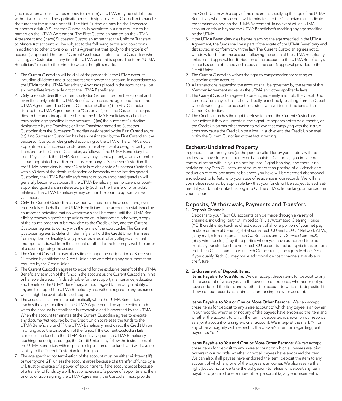(such as when a court awards money to a minor) an UTMA may be established without a Transferor. The application must designate a First Custodian to handle the funds for the minor's beneft. The First Custodian may be the Transferor or another adult. A Successor Custodian is permitted but not required to be named on the UTMA Agreement. The First Custodian named on the UTMA Agreement and (if any) Successor Custodian agree that the Uniform Transfers to Minors Act account will be subject to the following terms and conditions in addition to other provisions in this Agreement that apply to the type(s) of account(s) opened. The term "Current Custodian" refers to the Custodian who is acting as Custodian at any time the UTMA account is open. The term "UTMA Beneficiary" refers to the minor to whom the gift is made.

- 1. The Current Custodian will hold all of the proceeds in the UTMA account, including dividends and subsequent additions to the account, in accordance to the UTMA for the UTMA Beneficiary. Any funds placed in the account shall be an immediate irrevocable gift to the UTMA Beneficiary.
- 2. Only one custodian (the Current Custodian) is permitted on the account and, even then, only until the UTMA Beneficiary reaches the age specified on the UTMA Agreement. The Current Custodian shall be (i) the First Custodian signing the UTMA Agreement (the "Custodian") or, if the Custodian resigns, dies, or becomes incapacitated before the UTMA Beneficiary reaches the termination age specifed in the account, (ii) (aa) the Successor Custodian designated by the Transferor, or, if the Transferor named no Successor Custodian (bb) the Successor Custodian designated by the First Custodian, or (cc) if no Successor Custodian has been designated by the First Custodian, the Successor Custodian designated according to the UTMA. The UTMA allows appointment of Successor Custodians in the absence of a designation by the Transferor or the Current Custodian, as follows: If the UTMA Beneficiary is at least 14 years old, the UTMA Beneficiary may name a parent, a family member, a court-appointed guardian, or a trust company as Successor Custodian. If the UTMA Beneficiary is under 14 or fails to designate a Successor Custodian within 60 days of the death, resignation or incapacity of the last designated Custodian, the UTMA Beneficiary's parent or court-appointed guardian will generally become custodian. If the UTMA Beneficiary has no parent or courtappointed guardian, an interested party (such as the Transferor or an adult relative of the UTMA Beneficiary) may petition the court to appoint a new Custodian.
- 3. Only the Current Custodian can withdraw funds from the account and, even then, solely on behalf of the UTMA Beneficiary. If the account is established by court order indicating that no withdrawals shall be made until the UTMA Beneficiary reaches a specific age unless the court later orders otherwise, a copy of the court's order must be provided to the Credit Union, and the Current Custodian agrees to comply with the terms of the court order. The Current Custodian agrees to defend, indemnify and hold the Credit Union harmless from any claim or liability to any person as a result of any alleged or actual improper withdrawal from the account or other failure to comply with the order of a court regarding the account.
- 4. The Current Custodian may at any time change the designation of Successor Custodian by notifying the Credit Union and completing any documentation required by the Credit Union.
- 5. The Current Custodian agrees to expend for the exclusive beneft of the UTMA Beneficiary as much of the funds in the account as the Current Custodian, in his or her sole discretion, fnds advisable for the support, maintenance, education and benefit of the UTMA Beneficiary, without regard to the duty or ability of anyone to support the UTMA Beneficiary and without regard to any resources which might be available for such support.
- 6. The account shall terminate automatically when the UTMA Beneficiary reaches the age specifed in the UTMA Agreement. The age election made when the account is established is irrevocable and is governed by the UTMA. When the account terminates, (i) the Current Custodian agrees to execute any document(s) required by the Credit Union to release the funds to the UTMA Beneficiary, and (ii) the UTMA Beneficiary must direct the Credit Union in writing as to the disposition of the funds. If the Current Custodian fails to release the funds to the UTMA Beneficiary upon the UTMA Beneficiary reaching the designated age, the Credit Union may follow the instructions of the UTMA Beneficiary with respect to disposition of the funds and will have no liability to the Current Custodian for doing so.
- 7. The age specifed for termination of the account must be either eighteen (18) or twenty-one (21), unless the account arose because of a transfer of funds by a will, trust or exercise of a power of appointment. If the account arose because of a transfer of funds by a will, trust or exercise of a power of appointment, then prior to or upon signing the UTMA Agreement, the Custodian must provide

the Credit Union with a copy of the document specifying the age of the UTMA Beneficiary when the account will terminate, and the Custodian must indicate the termination age on the UTMA Agreement. In no event will an UTMA account continue beyond the UTMA Beneficiary's reaching any age specified by the UTMA.

- 8. If the UTMA Beneficiary dies before reaching the age specified in the UTMA Agreement, the funds shall be a part of the estate of the UTMA Beneficiary and distributed in conformity with the law. The Current Custodian agrees not to withdraw funds from the account following the death of the UTMA Beneficiary unless court approval for distribution of the account to the UTMA Beneficiary's estate has been obtained and a copy of the court's approval provided to the Credit Union.
- 9. The Current Custodian waives the right to compensation for serving as custodian of the account.
- 10. All transactions respecting the account shall be governed by the terms of this Member Agreement as well as the UTMA and other applicable laws.
- 11. The Current Custodian agrees to defend, indemnify and hold the Credit Union harmless from any suits or liability directly or indirectly resulting from the Credit Union's handling of the account consistent with written instructions of the Current Custodian.
- 12. The Credit Union has the right to refuse to honor the Current Custodian's instructions if they are uncertain, the signature appears not to be authentic, or the Credit Union has other reason to believe that complying with the instructions may cause the Credit Union a loss. In such event, the Credit Union shall notify the Current Custodian of that fact in writing.

#### Escheat/Unclaimed Property

In general, if for three years (or the period called for by your state law if the address we have for you in our records is outside California), you initiate no communication with us, you do not log into Digital Banking, and there is no activity on any Tech CU account of yours other than posting of dividends and deduction of fees, any account balances you have will be deemed abandoned and subject to forfeiture to your state of residence in our records. We will mail you notice required by applicable law that your funds will be subject to escheatment if you do not contact us, log into Online or Mobile Banking, or transact on your account.

#### Deposits, Withdrawals, Payments and Transfers 1. Deposit Channels

Deposits to your Tech CU accounts can be made through a variety of channels, including, but not limited to (a) via Automated Clearing House (ACH) credit entry (such as direct deposit of all or a portion of your net pay or state or federal benefts), (b) at some Tech CU and CO-OP Network ATMs, (c) by mail, (d) in person at Tech CU Branches and CU Service Centers®, (e) by wire transfer, (f) by third parties whom you have authorized to electronically transfer funds to your Tech CU accounts, including via transfer from their Tech CU accounts to your Tech CU accounts, and (g) by Mobile Deposit if you qualify. Tech CU may make additional deposit channels available in the future.

#### 2. Endorsement of Deposit Items:

Items Payable to You Alone: We can accept these items for deposit to any share account of which you are the owner in our records, whether or not you have endorsed the item, and whether the account to which it is deposited is shown on our records as a joint account or single-owner account.

Items Payable to You or One or More Other Persons: We can accept these items for deposit to any share account of which any payee is an owner in our records, whether or not any of the payees have endorsed the item and whether the account to which the item is deposited is shown on our records as a joint account or a single-owner account. We interpret the mark "/" or any other ambiguity with respect to the drawer's intention regarding joint payees as "or."

Items Payable to You and One or More Other Persons: We can accept these items for deposit to any share account on which all payees are joint owners in our records, whether or not all payees have endorsed the item. We can also, if all payees have endorsed the item, deposit the item to any account of which any one of the payees is an owner. We also reserve the right (but do not undertake the obligation) to refuse for deposit any item payable to you and one or more other persons if (a) any endorsement is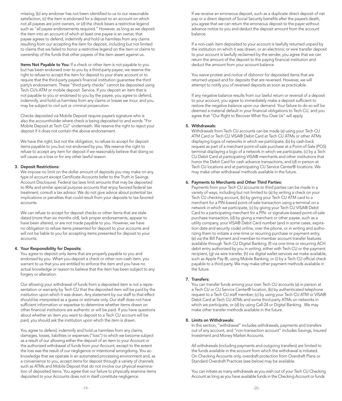missing, (b) any endorser has not been identifed to us to our reasonable satisfaction, (c) the item is endorsed for a deposit to an account on which not all payees are joint owners, or (d) the check bears a restrictive legend such as "all payee endorsements required." However, as long as we deposit the item into an account of which at least one payee is an owner, that payee agrees to defend, indemnify and hold us harmless from any claims resulting from our accepting the item for deposit, including but not limited to claims that we failed to honor a restrictive legend on the item or claims to ownership of the funds that other payees of the item assert against us.

Items Not Payable to You: If a check or other item is not payable to you but has been endorsed over to you by a third-party payee, we reserve the right to refuse to accept the item for deposit to your share account or to require that the third-party payee's fnancial institution guarantee the third party's endorsement. These "third party checks" cannot be deposited using Tech CU's ATM or mobile deposit Service. If you deposit an item that is not payable to you or endorsed to you by the payee, you agree to defend, indemnify, and hold us harmless from any claims or losses we incur, and you may be subject to civil suit or criminal prosecution.

Checks deposited via Mobile Deposit require payee's signature who is also the accountholder where check is being deposited to and words "For Mobile Deposit at Tech CU" underneath. We reserve the right to reject your deposit if it does not contain the above endorsement.

We have the right, but not the obligation, to refuse to accept for deposit items payable to you but not endorsed by you. We reserve the right to refuse to accept any item for deposit if we reasonably believe that doing so will cause us a loss or for any other lawful reason.

#### 3. Deposit Restrictions:

We impose no limit on the dollar amount of deposits you may make on any type of account except Certifcate Accounts (refer to the Truth in Savings Account Disclosure). Federal tax laws limit amounts that may be deposited to IRAs and similar special purpose accounts that enjoy favored federal tax treatment; consult a tax advisor. We do not give advice about potential tax implications or penalties that could result from your deposits to tax-favored accounts.

We can refuse to accept for deposit checks or other items that are stale dated (more than six months old), lack proper endorsements, appear to have been altered, or are not made payable to you. However, we have no obligation to refuse items presented for deposit to your accounts and will not be liable to you for accepting items presented for deposit to your accounts.

#### 4. Your Responsibility for Deposits:

You agree to deposit only items that are properly payable to you and endorsed by you. When you deposit a check or other non-cash item, you warrant to us that you are entitled to enforce the item and you have no actual knowledge or reason to believe that the item has been subject to any forgery or alteration.

Our allowing your withdrawal of funds from a deposited item is not a representation or warranty by Tech CU that the deposited item will be paid by the institution upon which it was drawn. Any statement by our staff to that effect should be interpreted as a guess or estimate only. Our staff does not have sufficient information or expertise to determine whether items drawn on other fnancial institutions are authentic or will be paid. If you have questions about whether an item you want to deposit to a Tech CU account will be paid, you should ask the institution upon which the item is drawn.

You agree to defend, indemnify and hold us harmless from any claims, damages, losses, liabilities or expenses ("loss") to which we become subject as a result of our allowing either the deposit of an item to your Account or the authorized withdrawal of funds from your Account, except to the extent the loss was the result of our negligence or intentional wrongdoing. You acknowledge that we operate in an automated processing environment and, as a convenience to you, accept items for deposit through a variety of channels such as ATMs and Mobile Deposit that do not involve our physical examination of deposited items. You agree that our failure to physically examine items deposited to your Accounts does not in itself constitute negligence.

If we receive an erroneous deposit, such as a duplicate direct deposit of net pay or a direct deposit of Social Security benefts after the payee's death, you agree that we can return the erroneous deposit to the payer without advance notice to you and deduct the deposit amount from the account balance.

If a non-cash item deposited to your account is lawfully returned unpaid by the institution on which it was drawn, or an electronic or wire transfer deposit to your account is lawfully reclaimed by the sender, you agree that we can return the amount of the deposit to the paying fnancial institution and deduct the amount from your account balance.

You waive protest and notice of dishonor for deposited items that are returned unpaid and for deposits that are reversed. However, we will attempt to notify you of reversed deposits as soon as practicable.

If any negative balance results from our lawful return or reversal of a deposit to your account, you agree to immediately make a deposit sufficient to restore the negative balance upon our demand. Your failure to do so will be deemed a material default in your fnancial obligations to Tech CU, and you agree that "Our Right to Recover What You Owe Us" will apply.

#### 5. Withdrawals:

Withdrawals from Tech CU accounts can be made (a) using your Tech CU ATM Card or Tech CU VISA® Debit Card at Tech CU ATMs or other ATMs displaying logos of networks in which we participate, (b) by cash-back request as part of a merchant point-of-sale purchase at a Point-of-Sale (POS) terminal displaying a logo of a network in which we participate, (c) by a Tech CU Debit Card at participating VISA® merchants and other institutions that honor the Debit Card for cash advance transactions, and (d) in person at Tech CU locations and at participating CU Service Center® locations. We may make other withdrawal methods available in the future.

#### 6. Payments to Merchants and Other Third Parties:

Payments from your Tech CU accounts to third parties can be made in a variety of ways, including but not limited to (a) by writing a check on your Tech CU checking account, (b) by giving your Tech CU ATM card to a merchant for a PIN-based point-of-sale transaction using a terminal on a network in which we participate, (c) by giving your Tech CU VISA® Debit Card to a participating merchant for a PIN- or signature-based point-of-sale purchase transaction, (d) by giving a merchant or other payee, such as a utility company, your VISA® Debit Card number (and in some cases, expiration date and security code) online, over the phone, or in writing and authorizing them to initiate a one-time or recurring purchase or payment entry, (e) via the Bill Payment and member-to-member account transfer features available through Tech CU Digital Banking, (f) via one-time or recurring ACH debit entry authorized by you in writing, either with Tech CU or the payment recipient, (g) via wire transfer, (h) via digital wallet services we make available, such as Apple Pay ®, using Mobile Banking, or (i) by a Tech CU official check payable to a third party. We may make other payment methods available in the future.

#### 7. Transfers:

You can transfer funds among your own Tech CU accounts (a) in person at a Tech CU or CU Service Center® location, (b) by authenticated telephone request to a Tech CU staff member, (c) by using your Tech CU ATM or VISA® Debit Card at Tech CU ATMs and some third-party ATMs on networks in which we participate, or (d) by using Call-24 or Digital Banking. We may make other transfer methods available in the future.

#### 8. Limits on Withdrawals:

In this section, "withdrawal" includes withdrawals, payments and transfers out of any account, and "non-transaction account" includes Savings, Insured Investment and Money Market Accounts.

All withdrawals (including payments and outgoing transfers) are limited to the funds available in the account from which the withdrawal is initiated. On Checking Accounts only, overdraft protection from Overdraft Plans or Standard Overdraft Practices (see below) may be available.

You can initiate as many withdrawals as you wish out of your Tech CU Checking Account as long as you have available funds in the Checking Account or funds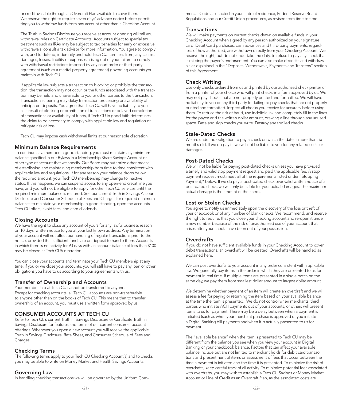or credit available through an Overdraft Plan available to cover them. We reserve the right to require seven days' advance notice before permitting you to withdraw funds from any account other than a Checking Account.

The Truth in Savings Disclosure you receive at account opening will tell you withdrawal rules on Certificate Accounts. Accounts subject to special tax treatment such as IRAs may be subject to tax penalties for early or excessive withdrawals; consult a tax advisor for more information. You agree to comply with, and to defend, indemnify and hold Tech CU harmless from, any claims, damages, losses, liability or expenses arising out of your failure to comply with withdrawal restrictions imposed by any court order or third-party agreement (such as a marital property agreement) governing accounts you maintain with Tech CU.

If applicable law subjects a transaction to blocking or prohibits the transaction, the transaction may not occur, or the funds associated with the transaction may be held and unavailable to you or other parties to the transaction. Transaction screening may delay transaction processing or availability of anticipated deposits. You agree that Tech CU will have no liability to you as a result of blocking or prohibition of transactions or delayed completion of transactions or availability of funds, if Tech CU in good faith determines the delay to be necessary to comply with applicable law and regulation or mitigate risk of loss.

Tech CU may impose cash withdrawal limits at our reasonable discretion.

#### Minimum Balance Requirements

To continue as a member in good standing, you must maintain any minimum balance specifed in our Bylaws in a Membership Share Savings Account or other type of account that we specify. Our Board may authorize other means of establishing and maintaining membership from time to time consistent with applicable law and regulations. If for any reason your balance drops below the required amount, your Tech CU membership may change to inactive status. If this happens, we can suspend access to any open-end credit line you have, and you will not be eligible to apply for other Tech CU services until the required minimum balance is restored. See our current Truth in Savings Account Disclosure and Consumer Schedule of Fees and Charges for required minimum balances to maintain your membership in good standing, open the accounts Tech CU offers, avoid fees, and earn dividends.

#### Closing Accounts

We have the right to close any account of yours for any lawful business reason on 10 days' written notice to you at your last known address. Any termination of your account will not affect our handling of regular transactions prior to the notice, provided that sufficient funds are on deposit to handle them. Accounts in which there is no activity for 90 days with an account balance of less than \$100 may be closed at Tech CU's discretion.

You can close your accounts and terminate your Tech CU membership at any time. If you or we close your accounts, you will still have to pay any loan or other obligations you have to us according to your agreements with us.

#### Transfer of Ownership and Accounts

Your membership at Tech CU cannot be transferred to anyone. Except for checking accounts, all Tech CU accounts are non-transferable to anyone other than on the books of Tech CU. This means that to transfer ownership of an account, you must use a written form approved by us.

# CONSUMER ACCOUNTS AT TECH CU

Refer to Tech CU's current Truth in Savings Disclosure or Certifcate Truth in Savings Disclosure for features and terms of our current consumer account offerings. Whenever you open a new account you will receive the applicable Truth in Savings Disclosure, Rate Sheet, and Consumer Schedule of Fees and Charges.

#### Checking Terms

The following terms apply to your Tech CU Checking Account(s) and to checks you may be able to write on Money Market and Health Savings Accounts.

#### Governing Law

In handling checking transactions we will be governed by the Uniform Com-

mercial Code as enacted in your state of residence, Federal Reserve Board Regulations and our Credit Union procedures, as revised from time to time.

### **Transactions**

We will make payments on current checks drawn on available funds in your Checking Account when signed by any person authorized on your signature card. Debit Card purchases, cash advances and third-party payments, regardless of how authorized, are withdrawn directly from your Checking Account. We reserve the right, but do not undertake the duty, to refuse to pay any check that is missing the payee's endorsement. You can also make deposits and withdrawals as explained in the "Deposits, Withdrawals, Payments and Transfers" section of this Agreement.

### Check Writing

Use only checks ordered from us and printed by our authorized check printer or from a printer of your choice who will print checks in a form approved by us. We may not pay checks that are not properly printed and formatted. We will have no liability to you or any third party for failing to pay checks that are not properly printed and formatted. Inspect all checks you receive for accuracy before using them. To reduce the risk of fraud, use indelible ink and completely fll in the lines for the payee and the written dollar amount, drawing a line through any unused space. Date and sign checks you write. Destroy any spoiled checks.

#### Stale-Dated Checks

We are under no obligation to pay a check on which the date is more than six months old. If we do pay it, we will not be liable to you for any related costs or damages.

#### Post-Dated Checks

We will not be liable for paying post-dated checks unless you have provided a timely and valid stop payment request and paid the applicable fee. A stop payment request must meet all of the requirements listed under "Stopping Payment," below. If we do pay a post-dated check over valid written notice of a post-dated check, we will only be liable for your actual damages. The maximum actual damage is the amount of the check.

#### Lost or Stolen Checks

You agree to notify us immediately upon the discovery of the loss or theft of your checkbook or of any number of blank checks. We recommend, and reserve the right to require, that you close your checking account and re-open it under a new number because of the risk of unauthorized use of your account that arises after your checks have been out of your possession.

# Overdrafts

If you do not have sufficient available funds in your Checking Account to cover debit transactions, an overdraft will be created. Overdrafts will be handled as explained here.

We can post overdrafts to your account in any order consistent with applicable law. We generally pay items in the order in which they are presented to us for payment in real time. If multiple items are presented in a single batch on the same day, we pay them from smallest dollar amount to largest dollar amount.

We determine whether payment of an item will create an overdraft and we will assess a fee for paying or returning the item based on your available balance at the time the item is presented. We do not control when merchants, third parties who initiate ACH payments out of your accounts, or others will present items to us for payment. There may be a delay between when a payment is initiated (such as when your merchant purchase is approved or you initiate a Digital Banking bill payment) and when it is actually presented to us for payment.

The "available balance" when the item is presented to Tech CU may be different from the balance you see when you view your account in Digital Banking or your checkbook balance. Factors that can affect your available balance include but are not limited to merchant holds for debit card transactions and presentment of items or assessment of fees that occur between the time a payment is initiated and the time it is presented. To minimize the risk of overdrafts, keep careful track of all activity. To minimize potential fees associated with overdrafts, you may wish to establish a Tech CU Savings or Money Market Account or Line of Credit as an Overdraft Plan, as the associated costs are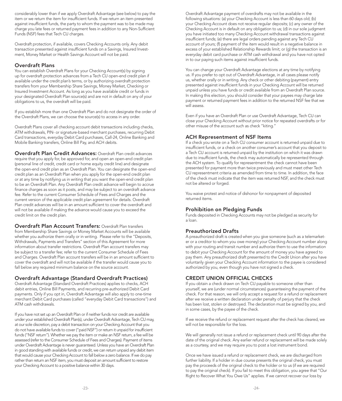considerably lower than if we apply Overdraft Advantage (see below) to pay the item or we return the item for insufficient funds. If we return an item presented against insufficient funds, the party to whom the payment was to be made may charge you late fees or returned payment fees in addition to any Non-Suffcient Funds (NSF) fees that Tech CU charges.

Overdraft protection, if available, covers Checking Accounts only. Any debit transaction presented against insufficient funds on a Savings, Insured Investment, Money Market or Health Savings Account will not be paid.

#### Overdraft Plans

You can establish Overdraft Plans for your Checking Account(s) by signing up for overdraft protection advances from a Tech CU open-end credit plan if available under the credit plan's terms, or by authorizing overdraft protection transfers from your Membership Share Savings, Money Market, Checking or Insured Investment Account. As long as you have available credit or funds in your designated Overdraft Plan source(s) and are not in default on any of your obligations to us, the overdraft will be paid.

If you establish more than one Overdraft Plan and do not designate the order of the Overdraft Plans, we can choose the source(s) to access in any order.

Overdraft Plans cover all checking account debit transactions including checks, ATM withdrawals, PIN- or signature-based merchant purchases, recurring Debit Card transactions, everyday Debit Card purchases, Call-24, Online Banking and Mobile Banking transfers, Online Bill Pay, and ACH debits.

Overdraft Plan Credit Advances: Overdraft Plan credit advances require that you apply for, be approved for, and open an open-end credit plan (personal line of credit, credit card or home equity credit line) and designate the open-end credit plan as an Overdraft Plan. You can designate the open-end credit plan as an Overdraft Plan when you apply for the open-end credit plan or at any time by notifying us in writing that you want the open-end credit plan to be an Overdraft Plan. Any Overdraft Plan credit advance will begin to accrue fnance charges as soon as it posts, and may be subject to an overdraft advance fee. Refer to the current Consumer Schedule of Fees and Charges and the current version of the applicable credit plan agreement for details. Overdraft Plan credit advances will be in an amount sufficient to cover the overdraft and will not be available if making the advance would cause you to exceed the credit limit on the credit plan.

Overdraft Plan Account Transfers: Overdraft Plan transfers from Membership Share Savings or Money Market Accounts will be available whether you authorize them orally or in writing. Please refer to the "Deposits, Withdrawals, Payments and Transfers" section of this Agreement for more information about transfer restrictions. Overdraft Plan account transfers may be subject to a transfer fee; refer to the current Consumer Schedule of Fees and Charges. Overdraft Plan account transfers will be in an amount sufficient to cover the overdraft and will not be available if the transfer would cause you to fall below any required minimum balance on the source account.

# Overdraft Advantage (Standard Overdraft Practices)

Overdraft Advantage (Standard Overdraft Practices) applies to checks, ACH debit entries, Online Bill Payments, and recurring pre-authorized Debit Card payments. Only if you opt in, Overdraft Advantage will also apply to one-time merchant Debit Card purchases (called "everyday Debit Card transactions") and ATM cash withdrawals.

If you have not set up an Overdraft Plan or if neither funds nor credit are available under your established Overdraft Plan(s), under Overdraft Advantage, Tech CU may, at our sole discretion, pay a debit transaction on your Checking Account that you do not have available funds to cover ("paid NSF") or return it unpaid for insufficient funds ("NSF return"). Whether we pay the item or make an NSF return, a fee will be assessed (refer to the Consumer Schedule of Fees and Charges). Payment of items under Overdraft Advantage is never guaranteed. Unless you have an Overdraft Plan in good standing with available funds or credit, we can return unpaid any debit item that would cause your Checking Account to fall below a zero balance. If we do pay rather than return an NSF item, you must deposit an amount sufficient to restore your Checking Account to a positive balance within 30 days.

Overdraft Advantage payment of overdrafts may not be available in the following situations: (a) your Checking Account is less than 60 days old; (b) your Checking Account does not receive regular deposits; (c) any owner of the Checking Account is in default on any obligation to us; (d) in our sole judgment you have initiated too many Checking Account withdrawal transactions against insufficient funds; (e) there are legal orders pending against any Tech CU account of yours; (f) payment of the item would result in a negative balance in excess of your established Relationship Rewards limit; or (g) the transaction is an everyday debit card purchase or ATM cash withdrawal and you have not opted in to our paying such items against insufficient funds.

You can change your Overdraft Advantage elections at any time by notifying us. If you prefer to opt out of Overdraft Advantage, in all cases please notify us, whether orally or in writing. Any check or other debiting (payment) entry presented against insufficient funds in your Checking Account will be returned unpaid unless you have funds or credit available from an Overdraft Plan source. In making this election, you should consider that your payees may charge late payment or returned payment fees in addition to the returned NSF fee that we will assess.

Even if you have an Overdraft Plan or use Overdraft Advantage, Tech CU can close your Checking Account without prior notice for repeated overdrafts or for other misuse of the account such as check "kiting."

# ACH Representment of NSF Items

If a check you wrote on a Tech CU consumer account is returned unpaid due to insufficient funds, or a check on another consumer's account that you deposit to a Tech CU account is returned unpaid by the institution on which it was drawn due to insufficient funds, the check may automatically be represented through the ACH system. To qualify for representment the check cannot have been presented for payment more than twice previously and must meet other Tech CU representment criteria as amended from time to time. In addition, the face of the check must indicate that the item was returned NSF, and the check must not be altered or forged.

You waive protest and notice of dishonor for nonpayment of deposited returned items.

# Prohibition on Pledging Funds

Funds deposited in Checking Accounts may not be pledged as security for a loan.

# Preauthorized Drafts

A preauthorized draft is created when you give someone (such as a telemarketer or a creditor to whom you owe money) your Checking Account number along with your routing and transit number and authorize them to use the information to debit your Checking Account for the amount of money you have agreed to pay them. Any preauthorized draft presented to the Credit Union after you have voluntarily given your Checking Account information to the payee is considered authorized by you, even though you have not signed a check.

# CREDIT UNION OFFICIAL CHECKS

If you obtain a check drawn on Tech CU payable to someone other than yourself, we are (under normal circumstances) guaranteeing the payment of the check. For that reason, we will only accept a request for a refund or replacement after we receive a written declaration under penalty of perjury that the check has been lost, stolen or destroyed. The declaration must be signed by you, and in some cases, by the payee of the check.

If we receive the refund or replacement request after the check has cleared, we will not be responsible for the loss.

We will generally not issue a refund or replacement check until 90 days after the date of the original check. Any earlier refund or replacement will be made solely as a courtesy, and we may require you to post a lost instrument bond.

Once we have issued a refund or replacement check, we are discharged from further liability. If a holder in due course presents the original check, you must pay the proceeds of the original check to the holder or to us (if we are required to pay the original check). If you fail to meet this obligation, you agree that "Our Right to Recover What You Owe Us" applies. If we cannot recover our loss by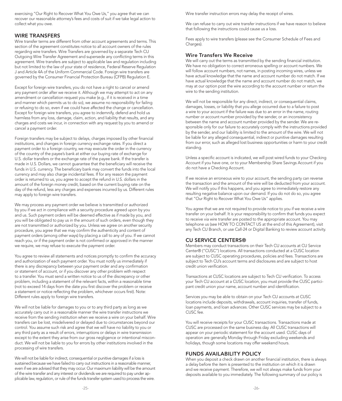exercising "Our Right to Recover What You Owe Us," you agree that we can recover our reasonable attorney's fees and costs of suit if we take legal action to collect what you owe.

### WIRE TRANSFERS

Wire transfer terms are different from other account agreements and terms. This section of the agreement constitutes notice to all account owners of the rules regarding wire transfers. Wire Transfers are governed by a separate Tech CU Outgoing Wire Transfer Agreement and supersede any conficting terms in this agreement. Wire transfers are subject to applicable law and regulation including but not limited to the law of your state of residence, Federal Reserve Regulation J and Article 4A of the Uniform Commercial Code. Foreign wire transfers are governed by the Consumer Financial Protection Bureau (CFPB) Regulation E.

Except for foreign wire transfers, you do not have a right to cancel or amend any payment order after we receive it. Although we may attempt to act on any amendment or cancellation request you make (e.g., if it is received in a time and manner which permits us to do so), we assume no responsibility for failing or refusing to do so, even if we could have affected the change or cancellation. Except for foreign wire transfers, you agree to indemnify, defend and hold us harmless from any loss, damage, claim, action, and liability that results, and any charges and costs we incur, in connection with any request by you to amend or cancel a payment order.

Foreign transfers may be subject to delays, charges imposed by other fnancial institutions, and changes in foreign currency exchange rates. If you direct a payment order to a foreign country, we may execute the order in the currency of the country of the payee's bank at either our buying rate of exchange for U.S. dollar transfers or the exchange rate of the payee bank. If the transfer is made in U.S. Dollars, we cannot guarantee that the beneficiary will receive the funds in U.S. currency. The beneficiary bank may convert the funds into the local currency and may also charge incidental fees. If for any reason the payment order is returned to us, you agree to accept the refund in U.S. dollars in the amount of the foreign money credit, based on the current buying rate on the day of the refund, less any charges and expenses incurred by us. Different rules may apply to foreign wire transfers.

We may process any payment order we believe is transmitted or authorized by you if we act in compliance with a security procedure agreed upon by you and us. Such payment orders will be deemed effective as if made by you, and you will be obligated to pay us in the amount of such orders, even though they are not transmitted or authorized by you. Unless we agree on another security procedure, you agree that we may confrm the authenticity and content of payment orders (among other ways) by placing a call to any of you. If we cannot reach you, or if the payment order is not confrmed or approved in the manner we require, we may refuse to execute the payment order.

You agree to review all statements and notices promptly to confirm the accuracy and authorization of each payment order. You must notify us immediately if there is any discrepancy between your payment order and any confrmation or statement of account, or if you discover any other problem with respect to a transfer. You must send a written notice to us of the discrepancy or other problem, including a statement of the relevant facts, within a reasonable time (not to exceed 14 days from the date you frst discover the problem or receive a statement or notice refecting the problem, whichever occurs frst). Note: Different rules apply to foreign wire transfers.

We will not be liable for damages to you or to any third party as long as we accurately carry out in a reasonable manner the wire transfer instructions we receive from the sending institution when we receive a wire on your behalf. Wire transfers can be lost, misdelivered or delayed due to circumstances beyond our control. You assume such risk and agree that we will have no liability to you or any third party as a result of errors, interruptions or delays in wire transmission except to the extent they arise from our gross negligence or intentional misconduct. We will not be liable to you for errors by other institutions involved in the processing of wire transfers.

We will not be liable for indirect, consequential or punitive damages if a loss is sustained because we have failed to carry out instructions in a reasonable manner, even if we are advised that they may occur. Our maximum liability will be the amount of the wire transfer and any interest or dividends we are required to pay under applicable law, regulation, or rule of the funds transfer system used to process the wire.

Wire transfer instruction errors may delay the receipt of wires.

We can refuse to carry out wire transfer instructions if we have reason to believe that following the instructions could cause us a loss.

Fees apply to wire transfers (please see the Consumer Schedule of Fees and Charges).

# Wire Transfers We Receive

We will carry out the terms as transmitted by the sending financial institution. We have no obligation to correct erroneous spelling or account numbers. We will follow account numbers, not names, in posting incoming wires, unless we have actual knowledge that the name and account number do not match. If we have actual knowledge that the name and account number do not match, we may at our option post the wire according to the account number or return the wire to the sending institution.

We will not be responsible for any direct, indirect, or consequential claims, damages, losses, or liability that you allege occurred due to a failure to post a wire to your account if the failure was due to an error in the name, routing number or account number provided by the sender, or an inconsistency between the name and account number provided by the sender. We are responsible only for our failure to accurately comply with the instructions provided by the sender, and our liability is limited to the amount of the wire. We will not be liable for any alleged consequential, indirect or punitive damages resulting from our error, such as alleged lost business opportunities or harm to your credit standing.

Unless a specific account is indicated, we will post wired funds to your Checking Account if you have one, or to your Membership Share Savings Account if you do not have a Checking Account.

If we receive an erroneous wire to your account, the sending party can reverse the transaction and the amount of the wire will be deducted from your account. We will notify you if this happens, and you agree to immediately restore any resulting negative balance upon our demand. If you do not do so, you agree that "Our Right to Recover What You Owe Us" applies.

You agree that we are not required to provide notice to you if we receive a wire transfer on your behalf. It is your responsibility to confrm that funds you expect to receive via wire transfer are posted to the appropriate account. You may telephone us (see HOW TO CONTACT US at the end of this Agreement), visit any Tech CU Branch, or use Call-24 or Digital Banking to review account activity.

#### CU SERVICE CENTERS®

Members may conduct transactions on their Tech CU accounts at CU Service Center® ("CUSC") locations. All transactions conducted at a CUSC location are subject to CUSC operating procedures, policies and fees. Transactions are subject to Tech CU's account terms and disclosures and are subject to host credit union verification.

Transactions at CUSC locations are subject to Tech CU verifcation. To access your Tech CU account at a CUSC location, you must provide the CUSC participant credit union your name, account number and identifcation.

Services you may be able to obtain on your Tech CU accounts at CUSC locations include deposits, withdrawals, account inquiries, transfer of funds, loan payments, and loan advances. Other CUSC services may be subject to a CUSC fee.

You will receive receipts for your CUSC transactions. Transactions made at CUSC are processed on the same business day. All CUSC transactions will appear on your periodic statement for the account used. CUSC days of operation are generally Monday through Friday excluding weekends and holidays, though some locations may offer weekend hours.

# FUNDS AVAILABILITY POLICY

When you deposit a check drawn on another fnancial institution, there is always a delay before the item is presented to the institution on which it is drawn and we receive payment. Therefore, we will not always make funds from your deposits available to you immediately. The following summary of our policy is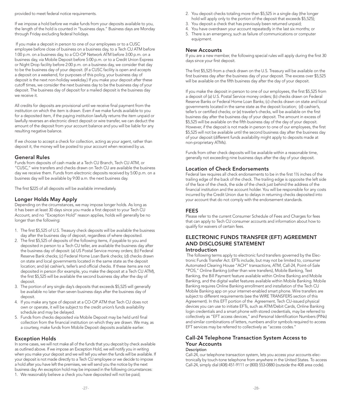provided to meet federal notice requirements.

If we impose a hold before we make funds from your deposits available to you, the length of the hold is counted in "business days." Business days are Monday through Friday excluding federal holidays.

 If you make a deposit in person to one of our employees or to a CUSC employee before close of business on a business day, to a Tech CU ATM before 1:00 p.m. on a business day, to a CO-OP Network ATM before 3:00 p.m. on a business day, via Mobile Deposit before 5:00 p.m. or to a Credit Union Express or Night Drop facility before 2:00 p.m. on a business day, we consider that day to be the business day of your deposit. (If a CUSC facility is open and accepts a deposit on a weekend, for purposes of this policy, your business day of deposit is the next non-holiday weekday.) If you make your deposit after these cutoff times, we consider the next business day to be the business day of your deposit. The business day of deposit for a mailed deposit is the business day we receive it.

All credits for deposits are provisional until we receive fnal payment from the institution on which the item is drawn. Even if we make funds available to you for a deposited item, if the paying institution lawfully returns the item unpaid or lawfully reverses an electronic direct deposit or wire transfer, we can deduct the amount of the deposit from your account balance and you will be liable for any resulting negative balance.

If we choose to accept a check for collection, acting as your agent, rather than deposit it, the money will be posted to your account when received by us.

#### General Rules

Funds from deposits of cash made at a Tech CU Branch, Tech CU ATM, or "CUSC," wire transfers and checks drawn on Tech CU are available the business day we receive them. Funds from electronic deposits received by 5:00 p.m. on a business day will be available by 9:00 a.m. the next business day.

The first \$225 of all deposits will be available immediately.

#### Longer Holds May Apply

Depending on the circumstances, we may impose longer holds. As long as it has been at least 30 days since you made a frst deposit to your Tech CU Account, and no "Exception Hold" reason applies, holds will generally be no longer than the following:

- 1. The frst \$5,525 of U.S. Treasury check deposits will be available the business day after the business day of deposit, regardless of where deposited.
- 2. The frst \$5,525 of deposits of the following items, if payable to you and deposited in person to a Tech CU teller, are available the business day after the business day of deposit: (a) US Postal Service money orders; (b) Federal Reserve Bank checks; (c) Federal Home Loan Bank checks; (d) checks drawn on state and local governments located in the same state as the deposit location; and (e) cashier's, teller's and official checks. If these items are not deposited in person (for example, you make the deposit at a Tech CU ATM), the frst \$5,525 will be available the second business day after the day of deposit.
- 3. The portion of any single day's deposits that exceeds \$5,525 will generally be available no later than seven business days after the business day of
- deposit. 4. If you make any type of deposit at a CO-OP ATM that Tech CU does not own or operate, it will be subject to the credit union's funds availability schedule and may be delayed.
- 5. Funds from checks deposited via Mobile Deposit may be held until fnal collection from the fnancial institution on which they are drawn. We may, as a courtesy, make funds from Mobile Deposit deposits available earlier.

# Exception Holds

In some cases, we will not make all of the funds that you deposit by check available as outlined above. If we impose an Exception Hold, we will notify you in writing when you make your deposit and we will tell you when the funds will be available. If your deposit is not made directly to a Tech CU employee or we decide to impose a hold after you have left the premises, we will send you the notice by the next business day. An exception hold may be imposed in the following circumstances: 1. We reasonably believe a check you have deposited will not be paid;

- 2. You deposit checks totaling more than \$5,525 in a single day (the longer hold will apply only to the portion of the deposit that exceeds \$5,525);
- 3. You deposit a check that has previously been returned unpaid;
- 4. You have overdrawn your account repeatedly in the last six months; or
- 5. There is an emergency, such as failure of communications or computer equipment.

#### New Accounts

If you are a new member, the following special rules will apply during the first 30 days since your first deposit.

The first \$5,525 from a check drawn on the U.S. Treasury will be available on the first business day after the business day of your deposit. The excess over \$5,525 will be available on the fifth business day after the day of your deposit.

If you make the deposit in person to one of our employees, the frst \$5,525 from a deposit of (a) U.S. Postal Service money orders; (b) checks drawn on Federal Reserve Banks or Federal Home Loan Banks; (c) checks drawn on state and local governments located in the same state as the deposit location; (d) cashier's, teller's or certifed checks; or (e) traveler's checks, will be available on the frst business day after the business day of your deposit. The amount in excess of \$5,525 will be available on the fifth business day of the day of your deposit. However, if the deposit is not made in person to one of our employees, the frst \$5,525 will not be available until the second business day after the business day of your deposit (different funds availability might apply to deposits made at non-proprietary ATMs).

Funds from other check deposits will be available within a reasonable time, generally not exceeding nine business days after the day of your deposit.

#### Location of Check Endorsements

Federal law requires all check endorsements to be in the frst 1½ inches of the trailing edge of the back of the check. The trailing edge is opposite the left side of the face of the check, the side of the check just behind the address of the fnancial institution and the account holder. You will be responsible for any costs incurred by the Credit Union due to delays in returning checks deposited into your account that do not comply with the endorsement standards.

#### FEES

Please refer to the current Consumer Schedule of Fees and Charges for fees that can apply to Tech CU consumer accounts and information about how to qualify for waivers of certain fees.

# ELECTRONIC FUNDS TRANSFER (EFT) AGREEMENT AND DISCLOSURE STATEMENT

# Introduction

 The following terms apply to electronic fund transfers governed by the Electronic Funds Transfer Act. EFTs include, but may not be limited to, consumer Automated Clearing House "ACH" transactions, ATM, Call-24, Point-of-Sale "POS," Online Banking (other than wire transfers), Mobile Banking, Text Banking, the Bill Payment feature available within Online Banking and Mobile Banking, and the digital wallet features available within Mobile Banking. Mobile Banking requires Online Banking enrollment and installation of the Tech CU Mobile Banking app on your internet-enabled smart phone. Wire transfers are subject to different requirements (see the WIRE TRANSFERS section of this Agreement). In this EFT portion of the Agreement, Tech CU-issued physical devices you can use to initiate EFTs, such as ATM/Debit Cards, Online Banking login credentials and a smart phone with stored credentials, may be referred to collectively as "EFT access devices," and Personal Identifcation Numbers (PINs) and similar combinations of letters, numbers and/or symbols required to access EFT services may be referred to collectively as "access codes."

#### Call-24 Telephone Transaction System Access to Your Accounts **Description**

Call-24, our telephone transaction system, lets you access your accounts electronically by touch-tone telephone from anywhere in the United States. To access Call-24, simply dial (408) 451-9111 or (800) 553-0880 (outside the 408 area code).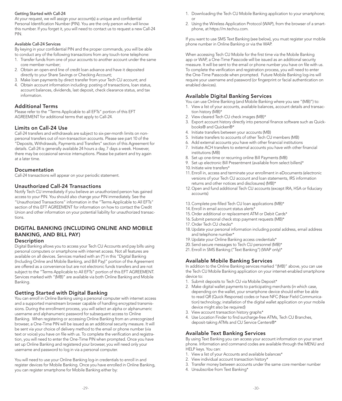#### Getting Started with Call-24

At your request, we will assign your account(s) a unique and confdential Personal Identification Number (PIN). You are the only person who will know this number. If you forget it, you will need to contact us to request a new Call-24 PIN.

#### Available Call-24 Services

By keying in your confidential PIN and the proper commands, you will be able to conduct any of the following transactions from any touch-tone telephone:

- 1. Transfer funds from one of your accounts to another account under the same core member number;
- 2. Obtain an open-end line of credit loan advance and have it deposited directly to your Share Savings or Checking Account;
- 3. Make loan payments by direct transfer from your Tech CU account; and
- 4. Obtain account information including: posting of transactions, loan status, account balances, dividends, last deposit, check clearance status, and tax information.

#### Additional Terms

Please refer to the "Terms Applicable to all EFTs" portion of this EFT AGREEMENT for additional terms that apply to Call-24.

#### Limits on Call-24 Use

Call-24 transfers and withdrawals are subject to six-per-month limits on nonpersonal transfers out of non-transaction accounts. Please see part 10 of the "Deposits, Withdrawals, Payments and Transfers" section of this Agreement for details. Call-24 is generally available 24 hours a day, 7 days a week. However, there may be occasional service interruptions. Please be patient and try again at a later time.

#### Documentation

Call-24 transactions will appear on your periodic statement.

## Unauthorized Call-24 Transactions

Notify Tech CU immediately if you believe an unauthorized person has gained access to your PIN. You should also change your PIN immediately. See the "Unauthorized Transactions" information in the "Terms Applicable to All EFTs" section of this EFT AGREEMENT for information on how to contact the Credit Union and other information on your potential liability for unauthorized transactions.

# DIGITAL BANKING (INCLUDING ONLINE AND MOBILE BANKING, AND BILL PAY)

# Description

Digital Banking allows you to access your Tech CU Accounts and pay bills using personal computers or smartphone with internet access. Not all features are available on all devices. Services marked with an (\*) in this "Digital Banking (Including Online and Mobile Banking, and Bill Pay)" portion of the Agreement are offered as a convenience but are not electronic funds transfers and are not subject to the "Terms Applicable to All EFTs" portion of this EFT AGREEMENT. Services marked with "(MB)" are available via both Online Banking and Mobile Banking.

# Getting Started with Digital Banking

You can enroll in Online Banking using a personal computer with internet access and a supported mainstream browser capable of handling encrypted transmissions. During the enrollment process, you will select an alpha or alphanumeric username and alphanumeric password for subsequent access to Online Banking. When registering or accessing Online Banking from an unrecognized browser, a One-Time PIN will be issued as an additional security measure. It will be sent via your choice of delivery method to the email or phone number (via text or voice) you have on fle with us. To complete the verifcation and registration, you will need to enter the One-Time PIN when prompted. Once you have set up Online Banking and registered your browser, you will need only your username and password to log in via a personal computer.

You will need to use your Online Banking log-in credentials to enroll in and register devices for Mobile Banking. Once you have enrolled in Online Banking, you can register smartphone for Mobile Banking either by:

- 1. Downloading the Tech CU Mobile Banking application to your smartphone; or
- 2. Using the Wireless Application Protocol (WAP), from the browser of a smartphone, at<https://m.techcu.com>.

If you want to use SMS Text Banking (see below), you must register your mobile phone number in Online Banking or via the WAP.

When accessing Tech CU Mobile for the first time via the Mobile Banking app or WAP, a One-Time Passcode will be issued as an additional security measure. It will be sent to the email or phone number you have on fle with us. To complete the verifcation and registration process, you will need to enter the One-Time Passcode when prompted. Future Mobile Banking log-ins will require your username and password (or fngerprint or facial authentication on enabled devices).

# Available Digital Banking Services

You can use Online Banking (and Mobile Banking where you see "(MB)") to:

- 1. View a list of your accounts, available balances, account details and transaction history (MB)\*
- 2. View cleared Tech CU check images (MB)\*
- 3. Export account history directly into personal fnance software such as Quickbooks® and Quicken®\*
- 4. Initiate transfers between your accounts (MB)
- 5. Initiate transfers to accounts of other Tech CU members (MB)
- 6. Add external accounts you have with other fnancial institutions
- 7. Initiate ACH transfers to external accounts you have with other fnancial institutions (MB)
- 8. Set up one-time or recurring online Bill Payments (MB)
- 10. Initiate wire transfers\* 9. Set up electronic Bill Presentment (available from select billers)\*
- 11. Enroll in, access and terminate your enrollment in eDocuments (electronic versions of your Tech CU account and loan statements, IRS information returns and other notices and disclosures) (MB)\*
- 12. Open and fund additional Tech CU accounts (except IRA, HSA or fiduciary accounts)
- 13. Complete pre-flled Tech CU loan applications (MB)\*
- 14. Enroll in email account status alerts\*
- 15. Order additional or replacement ATM or Debit Cards\*
- 16. Submit personal check stop payment requests (MB)\*
- 17. Order Tech CU checks\*
- 18. Update your personal information including postal address, email address and telephone number\*
- 19. Update your Online Banking access credentials\*
- 20. Send secure messages to Tech CU personnel (MB)\*
- 21. Enroll in SMS Banking ("Text Banking") (WAP only)\*

# Available Mobile Banking Services

In addition to the Online Banking services marked "(MB)" above, you can use the Tech CU Mobile Banking application on your internet-enabled smartphone device to:

- 1. Submit deposits to Tech CU via Mobile Deposit\*
- 2. Make digital wallet payments to participating merchants (in which case, depending on the wallet, your smartphone device should either be able to read QR (Quick Response) codes or have NFC (Near Field Communication) technology; installation of the digital wallet application on your mobile device might also be required)
- 3. View account transaction history graphs\*
- 4. Use Location Finder to find surcharge-free ATMs, Tech CU Branches, deposit-taking ATMs and CU Service Centers®\*

# Available Text Banking Services

By using Text Banking you can access your account information on your smart phone. Information and command codes are available through the MENU and .<br>HELP keys. You can:

- 1. View a list of your Accounts and available balances\*
- 2. View individual account transaction history\*
- 3. Transfer money between accounts under the same core member number
- 4. Unsubscribe from Text Banking\*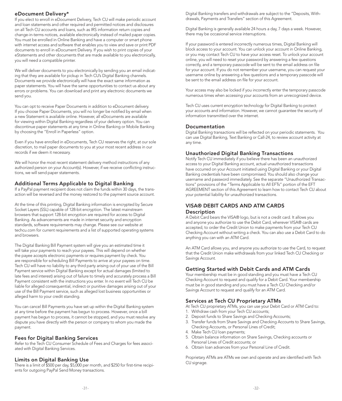# eDocument Delivery\*

If you elect to enroll in eDocument Delivery, Tech CU will make periodic account and loan statements and other required and permitted notices and disclosures on all Tech CU accounts and loans, such as IRS information return copies and change-in-terms notices, available electronically instead of mailed paper copies. You must be enrolled in Online Banking and have a computer or smart phone with internet access and software that enables you to view and save or print PDF documents to enroll in eDocument Delivery. If you wish to print copies of your eStatements and other documents that are made available to you electronically, you will need a compatible printer.

We will deliver documents to you electronically by sending you an email indicating that they are available for pickup in Tech CU's Digital Banking channels. Documents we provide electronically will have the exact same information as paper statements. You will have the same opportunities to contact us about any errors or problems. You can download and print any electronic documents we send you.

You can opt to receive Paper Documents in addition to eDocument delivery. If you choose Paper Documents, you will no longer be notifed by email when a new Statement is available online. However, all eDocuments are available for viewing within Digital Banking regardless of your delivery option. You can discontinue paper statements at any time in Online Banking or Mobile Banking by choosing the "Enroll in Paperless" option.

Even if you have enrolled in eDocuments, Tech CU reserves the right, at our sole discretion, to mail paper documents to you at your most recent address in our records if we deem it necessary.

We will honor the most recent statement delivery method instructions of any authorized person on your Account(s). However, if we receive conficting instructions, we will send paper statements.

#### Additional Terms Applicable to Digital Banking

If a PayPal payment recipient does not claim the funds within 30 days, the transaction will be reversed and the money restored to the payment source account.

At the time of this printing, Digital Banking information is encrypted by Secure Socket Layers (SSL) capable of 128-bit encryption. The latest mainstream browsers that support 128-bit encryption are required for access to Digital Banking. As advancements are made in internet security and encryption standards, software requirements may change. Please see our website at [techcu.com](https://techcu.com) for current requirements and a list of supported operating systems and browsers.

The Digital Banking Bill Payment system will give you an estimated time it will take your payments to reach your payees. This will depend on whether the payee accepts electronic payments or requires payment by check. You are responsible for scheduling Bill Payments to arrive at your payees on time. Tech CU will have no liability to any third party arising out of your use of the Bill Payment service within Digital Banking except for actual damages (limited to late fees and interest) arising out of failure to timely and accurately process a Bill Payment consistent with the instructions you enter. In no event will Tech CU be liable for alleged consequential, indirect or punitive damages arising out of your use of the Bill Payment service, such as alleged lost business opportunities or alleged harm to your credit standing.

You can cancel Bill Payments you have set up within the Digital Banking system at any time before the payment has begun to process. However, once a bill payment has begun to process, it cannot be stopped, and you must resolve any dispute you have directly with the person or company to whom you made the payment.

# Fees for Digital Banking Services

Refer to the Tech CU Consumer Schedule of Fees and Charges for fees associated with Digital Banking Services.

#### Limits on Digital Banking Use

There is a limit of \$500 per day, \$5,000 per month, and \$250 for frst-time recipients for outgoing PayPal Send Money transactions.

Digital Banking transfers and withdrawals are subject to the "Deposits, Withdrawals, Payments and Transfers" section of this Agreement.

Digital Banking is generally available 24 hours a day, 7 days a week. However, there may be occasional service interruptions.

If your password is entered incorrectly numerous times, Digital Banking will block access to your account. You can unlock your account in Online Banking, or you may contact Tech CU to have your access reset. To unlock your account online, you will need to reset your password by answering a few questions correctly, and a temporary passcode will be sent to the email address on fle for your account. If you do not remember your username, you can request your username online by answering a few questions and a temporary passcode will be sent to the email address on fle for your account.

Your access may also be locked if you incorrectly enter the temporary passcode numerous times when accessing your accounts from an unrecognized device.

Tech CU uses current encryption technology for Digital Banking to protect your accounts and information. However, we cannot guarantee the security of information transmitted over the internet.

#### Documentation

Digital Banking transactions will be refected on your periodic statements. You can use Digital Banking, Text Banking or Call-24, to review account activity at any time.

# Unauthorized Digital Banking Transactions

Notify Tech CU immediately if you believe there has been an unauthorized access to your Digital Banking account, actual unauthorized transactions have occurred on your Account initiated using Digital Banking or your Digital Banking credentials have been compromised. You should also change your username and password immediately. See the separate "Unauthorized Transactions" provisions of the "Terms Applicable to All EFTs" portion of the EFT AGREEMENT section of this Agreement to learn how to contact Tech CU about your potential liability for unauthorized transactions.

# VISA® DEBIT CARDS AND ATM CARDS **Description**

A Debit Card bears the VISA® logo, but is not a credit card. It allows you and anyone you authorize to use the Debit Card, wherever VISA® cards are accepted, to order the Credit Union to make payments from your Tech CU Checking Account without writing a check. You can also use a Debit Card to do anything you can with an ATM Card.

An ATM Card allows you, and anyone you authorize to use the Card, to request that the Credit Union make withdrawals from your linked Tech CU Checking or Savings Account.

# Getting Started with Debit Cards and ATM Cards

Your membership must be in good standing and you must have a Tech CU Checking Account to request and qualify for a Debit Card. Your membership must be in good standing and you must have a Tech CU Checking and/or Savings Account to request and qualify for an ATM Card.

# Services at Tech CU Proprietary ATMs

- At Tech CU proprietary ATMs, you can use your Debit Card or ATM Card to:
- 1. Withdraw cash from your Tech CU accounts;
- 2. Deposit funds to Share Savings and Checking Accounts;
- 3. Transfer funds from Share Savings and Checking Accounts to Share Savings, Checking Accounts, or Personal Lines of Credit;
- 4. Make Tech CU loan payments;
- 5. Obtain balance information on Share Savings, Checking accounts or Personal Lines of Credit accounts; or
- 6. Obtain loan advances from your Personal Line of Credit.

Proprietary ATMs are ATMs we own and operate and are identifed with Tech CU signage.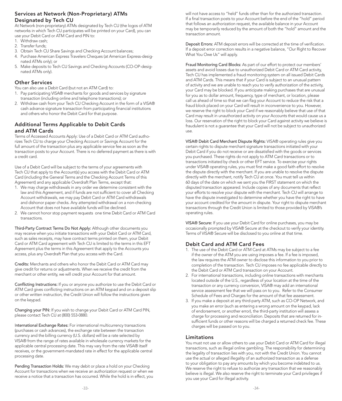# Services at Network (Non-Proprietary) ATMs Designated by Tech CU

At Network (non-proprietary) ATMs designated by Tech CU (the logos of ATM networks in which Tech CU participates will be printed on your Card), you can use your Debit Card or ATM Card and PIN to:

- 1. Withdraw cash; 2. Transfer funds;
- 
- 3. Obtain Tech CU Share Savings and Checking Account balances;
- 4. Purchase American Express Travelers Cheques (at American Express-designated ATMs only); or
- 5. Make deposits to Tech CU Savings and Checking Accounts (CO-OP-designated ATMs only).

# Other Services

You can also use a Debit Card (but not an ATM Card) to:

- 1. Pay participating VISA® merchants for goods and services by signature transaction (including online and telephone transactions); or
- 2. Withdraw cash from your Tech CU Checking Account in the form of a VISA® cash advance signature transaction from participating fnancial institutions and others who honor the Debit Card for that purpose.

# Additional Terms Applicable to Debit Cards and ATM Cards

Terms of Accessed Accounts Apply: Use of a Debit Card or ATM Card authorizes Tech CU to charge your Checking Account or Savings Account for the full amount of the transaction plus any applicable service fee as soon as the transaction posts to your Account. There is no deferred payment as there is with a credit card.

Card (including the General Terms and the Checking Account Terms of this Use of a Debit Card will be subject to the terms of your agreements with Tech CU that apply to the Account(s) you access with the Debit Card or ATM Agreement) and any applicable Overdraft Plan Terms, except that:

- 1. We may charge withdrawals in any order we determine consistent with the law and this Agreement, and if funds are not sufficient to cover all Checking Account withdrawals, we may pay Debit Card or ATM Card withdrawals and dishonor paper checks. Any attempted withdrawal on a non-checking Account that does not have available funds will be declined.
- 2. We cannot honor stop payment requests one time Debit Card or ATM Card transactions.

Third-Party Contract Terms Do Not Apply: Although other documents you may receive when you initiate transactions with your Debit Card or ATM Card, such as sales receipts, may have contract terms printed on them, your Debit Card or ATM Card agreement with Tech CU is limited to the terms in this EFT Agreement plus the terms in this Agreement that apply to the Accounts you access, plus any Overdraft Plan that you access with the Card.

Credits: Merchants and others who honor the Debit Card or ATM Card may give credit for returns or adjustments. When we receive the credit from the merchant or other entity, we will credit your Account for that amount.

Conficting Instructions: If you or anyone you authorize to use the Debit Card or ATM Card gives conficting instructions on an ATM keypad and on a deposit slip or other written instruction, the Credit Union will follow the instructions given on the keypad.

Changing your PIN: If you wish to change your Debit Card or ATM Card PIN, please contact Tech CU at (800) 553-0880.

International Exchange Rates: For international multicurrency transactions (purchases or cash advances), the exchange rate between the transaction currency and the billing currency (U.S. dollars) will be a rate selected by VISA® from the range of rates available in wholesale currency markets for the applicable central processing date. This may vary from the rate VISA® itself receives, or the government-mandated rate in effect for the applicable central processing date.

Pending Transaction Holds: We may debit or place a hold on your Checking Account for transactions when we receive an authorization request or when we receive a notice that a transaction has occurred. While the hold is in effect, you

will not have access to "held" funds other than for the authorized transaction. If a final transaction posts to your Account before the end of the "hold" period that follows an authorization request, the available balance in your Account may be temporarily reduced by the amount of both the "hold" amount and the transaction amount.

Deposit Errors: ATM deposit errors will be corrected at the time of verification. If a deposit error correction results in a negative balance, "Our Right to Recover What You Owe Us" will apply.

Fraud Monitoring Card Blocks: As part of our effort to protect our members' assets and avoid losses due to unauthorized Debit Card or ATM Card activity, Tech CU has implemented a fraud monitoring system on all issued Debit Cards and ATM Cards. This means that if your Card is subject to an unusual pattern of activity and we are unable to reach you to verify authorization of the activity, your Card may be blocked. If you anticipate making purchases that are unusual for you as to dollar amount, frequency, type of merchant, or location, please call us ahead of time so that we can flag your Account to reduce the risk that a fraud block placed on your Card will result in inconvenience to you. However, we reserve the right to block your Card if we reasonably believe that use of that Card may result in unauthorized activity on your Accounts that would cause us a loss. Our reservation of the right to block your Card against activity we believe is fraudulent is not a guarantee that your Card will not be subject to unauthorized use.

VISA® Debit Card Merchant Dispute Rights: VISA® operating rules give you certain rights to dispute merchant signature transactions initiated with your Debit Card if you do not receive or are dissatisfed with the goods or services you purchased. These rights do not apply to ATM Card transactions or to transactions initiated by check or other EFT service. To exercise your rights under VISA® operating rules, you must frst make a good faith effort to resolve the dispute directly with the merchant. If you are unable to resolve the dispute directly with the merchant, notify Tech CU at once. You must tell us within 60 days of the date on which we sent you the FIRST statement on which the disputed transaction appeared. Include copies of any documents that refect your efforts to resolve your dispute with the merchant. Tech CU will arrange to have the dispute investigated to determine whether you have the right to have your account credited for the amount in dispute. Your right to dispute merchant transactions through the Credit Union is limited to those provided by VISA®'s operating rules.

VISA® Secure: If you use your Debit Card for online purchases, you may be occasionally prompted by VISA® Secure at the checkout to verify your identity. Terms of VISA® Secure will be disclosed to you online at that time.

#### Debit Card and ATM Card Fees

- 1. The use of the Debit Card or ATM Card at ATMs may be subject to a fee if the owner of the ATM you are using imposes a fee. If a fee is imposed, the law requires the ATM owner to disclose this information to you prior to completion of the transaction. Tech CU imposes no fee applicable directly to the Debit Card or ATM Card transaction on your Account.
- 2. For international transactions, including online transactions with merchants located outside of the U.S., regardless of your location at the time of the transaction or any currency conversion, VISA® may add an international service assessment fee that we will pass on to you. Refer to the Consumer Schedule of Fees and Charges for the amount of that fee assessment.
- 3. If you make a deposit at any third-party ATM, such as CO-OP Network, and you make an error (such as entering a wrong amount on the keypad, lack of endorsement, or another error), the third-party institution will assess a charge for processing and reconciliation. Deposits that are returned for insufficient funds or other reasons will be charged a returned check fee. These charges will be passed on to you.

#### Limitations

You must not use or allow others to use your Debit Card or ATM Card for illegal transactions, such as illegal online gambling. The responsibility for determining the legality of transaction lies with you, not with the Credit Union. You cannot use the actual or alleged illegality of an authorized transaction as a defense to your obligation to pay any amounts by which you become indebted to us. We reserve the right to refuse to authorize any transaction that we reasonably believe is illegal. We also reserve the right to terminate your Card privileges if you use your Card for illegal activity.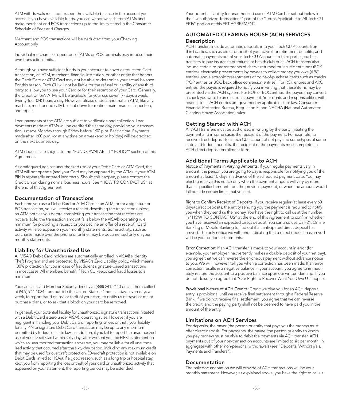ATM withdrawals must not exceed the available balance in the account you access. If you have available funds, you can withdraw cash from ATMs and make merchant and POS transactions up to the limits stated in the Consumer Schedule of Fees and Charges.

Merchant and POS transactions will be deducted from your Checking Account only.

Individual merchants or operators of ATMs or POS terminals may impose their own transaction limits.

Although you have sufficient funds in your account to cover a requested Card transaction, an ATM, merchant, fnancial institution, or other entity that honors the Debit Card or ATM Card may not be able to determine your actual balance. For this reason, Tech CU will not be liable for the refusal or inability of any third party to allow you to use your Card or for their retention of your Card. Generally, the Credit Union's ATMs will be available for your use seven (7) days a week, twenty-four (24) hours a day. However, please understand that an ATM, like any machine, must periodically be shut down for routine maintenance, inspection, and repair.

Loan payments at the ATM are subject to verifcation and collection. Loan payments made at ATMs will be credited the same day, providing your transaction is made Monday through Friday before 1:00 p.m. Pacifc time. Payments made after 1:00 p.m. (or at any time on a weekend or holiday) will be credited on the next business day.

ATM deposits are subject to the "FUNDS AVAILABILITY POLICY" section of this Agreement.

As a safeguard against unauthorized use of your Debit Card or ATM Card, the ATM will not operate (and your Card may be captured by the ATM), if your ATM PIN is repeatedly entered incorrectly. Should this happen, please contact the Credit Union during normal business hours. See "HOW TO CONTACT US" at the end of this Agreement.

#### Documentation of Transactions

Each time you use a Debit Card or ATM Card at an ATM, or for a signature or POS transaction, you will receive a receipt describing the transaction (unless an ATM notifes you before completing your transaction that receipts are not available, the transaction amount falls below the VISA® operating rule minimum for providing a receipt, or you decline an offer of a receipt). Card activity will also appear on your monthly statements. Some activity, such as purchases made over the phone or online, may be documented only on your monthly statements.

#### Liability for Unauthorized Use

All VISA® Debit Card holders are automatically enrolled in VISA®'s Identity Theft Program and are protected by VISA®'s Zero Liability policy, which means 100% protection for you in case of fraudulent signature-based transactions in most cases. All members beneft if Tech CU keeps card fraud losses to a minimum.

You can call Card Member Security directly at (888) 241-2440 or call them collect at (909) 941-1034 from outside the United States 24 hours a day, seven days a week, to report fraud or loss or theft of your card, to notify us of travel or major purchase plans, or to ask that a block on your card be removed.

In general, your potential liability for unauthorized signature transactions initiated with a Debit Card is zero under VISA® operating rules. However, if you are negligent in handling your Debit Card or reporting its loss or theft, your liability for any PIN or signature Debit Card transaction may be up to any maximum permitted by federal or state law. In addition, if you fail to report the unauthorized use of your Debit Card within sixty days after we sent you the FIRST statement on which an unauthorized transaction appeared, you may be liable for all unauthorized activity that occurred after the sixty-day period, including any maximum credit that may be used for overdraft protection. (Overdraft protection is not available on Debit Cards linked to HSAs). If a good reason, such as a long trip or hospital stay, kept you from reporting the loss or theft of your card or unauthorized activity that appeared on your statement, the reporting period may be extended.

Your potential liability for unauthorized use of ATM Cards is set out below in the "Unauthorized Transactions" part of the "Terms Applicable to All Tech CU EFTs" portion of this EFT AGREEMENT.

# AUTOMATED CLEARING HOUSE (ACH) SERVICES **Description**

ACH transfers include automatic deposits into your Tech CU Accounts from third parties, such as direct deposit of your payroll or retirement benefts, and automatic payments out of your Tech CU Accounts to third parties, such as transfers to pay insurance premiums or health club dues. ACH transfers also include certain re-presentments of checks returned for insufficient funds (RCK entries), electronic presentments by payees to collect money you owe (ARC entries), and electronic presentments of point-of-purchase items such as checks (POP entries or BOC back office conversion entries). For RCK entries and ARC entries, the payee is required to notify you in writing that these items may be presented via the ACH system. For POP or BOC entries, the payee may convert a check you write to an electronic payment. Your rights and responsibilities with respect to all ACH entries are governed by applicable state law, Consumer Financial Protection Bureau, Regulation E, and NACHA (National Automated Clearing House Association) rules.

# Getting Started with ACH

All ACH transfers must be authorized in writing by the party initiating the payment and in some cases the recipient of the payment. For example, to receive direct deposit to a Tech CU account of net pay and some types of some state and federal benefts, the recipient of the payments must complete an ACH direct deposit enrollment form.

# Additional Terms Applicable to ACH

Notice of Payments in Varying Amounts: If your regular payments vary in amount, the person you are going to pay is responsible for notifying you of the amount at least 10 days in advance of the scheduled payment date. You may elect to receive this notice only when the payment amount will vary by more than a specifed amount from the previous payment, or when the amount would fall outside certain limits that you set.

Right to Confrm Receipt of Deposits: If you receive regular (at least every 60 days) direct deposits, the entity sending you the payment is required to notify you when they send us the money. You have the right to call us at the number in "HOW TO CONTACT US" at the end of this Agreement to confrm whether you have received an expected direct deposit. You can also use Call-24, Online Banking or Mobile Banking to fnd out if an anticipated direct deposit has arrived. The only notice we will send indicating that a direct deposit has arrived will be your periodic statements.

Error Correction: If an ACH transfer is made to your account in error (for example, your employer inadvertently makes a double deposit of your net pay), you agree that we can reverse the erroneous payment without advance notice to you. We will, however, tell you when a correction has been made. If an error correction results in a negative balance in your account, you agree to immediately restore the account to a positive balance upon our written demand. If you do not do so, you agree that "Our Right to Recover What You Owe Us" applies.

Provisional Nature of ACH Credits: Credit we give you for an ACH deposit entry is provisional until we receive fnal settlement through a Federal Reserve Bank. If we do not receive final settlement, you agree that we can reverse the credit, and the paying party shall not be deemed to have paid you in the amount of the entry.

#### Limitations on ACH Services

For deposits, the payer (the person or entity that pays you the money) must offer direct deposit. For payments, the payee (the person or entity to whom you pay money) must be able to debit the payments via ACH transfer. ACH payments out of your non-transaction accounts are limited to six per month, in aggregate with other non-personal withdrawals (see "Deposits, Withdrawals, Payments and Transfers").

#### Documentation

The only documentation we will provide of ACH transactions will be your monthly statement. However, as explained above, you have the right to call us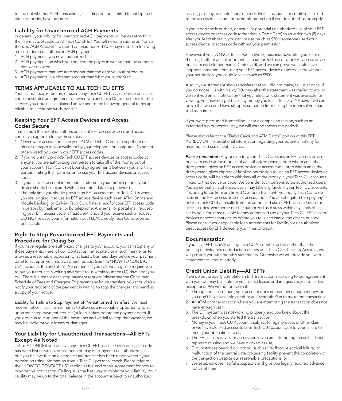to find out whether ACH transactions, including but not limited to anticipated direct deposits, have occurred.

#### Liability for Unauthorized ACH Payments

In general, your liability for unauthorized ACH payments will be as set forth in the "Terms Applicable to All Tech CU EFTs." You will need to submit an "Unauthorized ACH Affdavit" to report an unauthorized ACH payment. The following are considered unauthorized ACH payments:

- 1. ACH payments you never authorized;
- 2. ACH payments on which you notifed the payee in writing that the authorization was revoked;
- 3. ACH payments that occurred sooner than the date you authorized; or
- 4. ACH payments in a different amount than what you authorized.

# TERMS APPLICABLE TO ALL TECH CU EFTS

Your acceptance, retention, or use of any Tech CU EFT access device or access code constitutes an agreement between you and Tech CU to the terms for the services you obtain as explained above and to the following general terms applicable to electronic funds transfer.

# Keeping Your EFT Access Devices and Access Codes Secure

To minimize the risk of unauthorized use of EFT access devices and access codes, you agree to follow these rules:

- 1. Never write access codes on your ATM or Debit Cards or keep them on pieces of paper in your wallet or by your telephone or computer. Do not let others watch you key in your EFT access codes.
- 2. If you voluntarily provide Tech CU EFT access devices or access codes to anyone; you are authorizing that person to take all of the money out of your account. Tech CU is not bound by agreements between you and third parties limiting their permission to use your EFT access devices or access codes.
- 3. If your card or account information is stored in your mobile phone, your device should be secured with a biometric data or a password.
- 4. The only time you should provide an EFT access code to Tech CU is when you are logging in to use an EFT access device such as an ATM, Online and Mobile Banking, or Call-24. Tech CU will never ask for your EFT access code in person, by mail, email or by telephone. Any email or postal mail requesting your EFT access code is fraudulent. Should you receive such a request, DO NOT release your information but PLEASE notify Tech CU as soon as practicable.

# Right to Stop Preauthorized EFT Payments and Procedure for Doing So

If you have regular pre-authorized charges to your account, you can stop any of these payments. Here is how: Contact us immediately or in such manner as to allow us a reasonable opportunity (at least 3 business days before your payment date) to act upon your stop payment request (see the "HOW TO CONTACT US" section at the end of this Agreement). If you call, we may also require you to put your request in writing and get it to us within fourteen (14) days after you call. There is a fee for each stop payment request (please see the Consumer Schedule of Fees and Charges). To prevent any future transfers, you should also notify your recipient of the payment in writing to stop the charges, and send us a copy of your notice.

Liability for Failure to Stop Payment of Pre-authorized Transfers: We must receive notice in such a manner as to allow us a reasonable opportunity to act upon your stop payment request (at least 3 days before the payment date). If you order us to stop one of the payments and we fail to stop the payment, we may be liable for your losses or damages.

# Your Liability for Unauthorized Transactions—All EFTs Except As Noted

Tell us AT ONCE if you believe any Tech CU EFT access device or access code has been lost or stolen, or has been or may be subject to unauthorized use, or if you believe that an electronic fund transfer has been made without your permission using information from a Tech CU personal check. Please refer to the "HOW TO CONTACT US" section at the end of this Agreement for how to provide this notifcation. Calling us is the best way to minimize your liability. Your liability may be up to the total balance in the account subject to unauthorized

access, plus any available funds or credit limit in accounts or credit lines linked to the accessed account for overdraft protection if you do not tell us promptly.

If you report the loss, theft, or actual or potential unauthorized use of your EFT access device or access code (other than a Debit Card) to us within two (2) days after you learn about it, you can lose as much as \$50 if someone used your access device or access code without your permission.

However, if you DO NOT tell us within two (2) business days after you learn of the loss, theft, or actual or potential unauthorized use of your EFT access device or access code (other than a Debit Card), and we can prove we could have stopped someone from using your EFT access device or access code without your permission, you could lose as much as \$500.

Also, if your statement shows transfers that you did not make, tell us at once. If you do not tell us within sixty (60) days after the statement was mailed to you or we sent you email notifcation that your electronic statement was available for viewing, you may not get back any money you lost after sixty (60) days if we can prove that we could have stopped someone from taking the money if you had told us in time.

If you were precluded from telling us for a compelling reason, such as an extended trip or hospital stay, we will extend these time periods

. Please also refer to the "Debit Cards and ATM Cards" portion of this EFT AGREEMENT for additional information regarding your potential liability for unauthorized use of Debit Cards.

*Please remember:* Any person to whom Tech CU issues an EFT access device or access code at the request of an authorized person, or to whom an authorized person gives an EFT access device or access code, or to whom an authorized person gives express or implied permission to use an EFT access device or access code, will be able to withdraw all of the money in your Tech CU accounts linked to that device or code. We consider such persons to be authorized users. You agree that all authorized users may take any funds in your Tech CU accounts (including funds from any linked Overdraft Plan) until you notify Tech CU to deactivate the EFT access device or access code. You are obligated to repay any debt to Tech CU that results from the authorized use of EFT access devices or access codes, whether or not the authorized user stays within any limits of use set by you. You remain liable for any authorized use of your Tech CU EFT access devices or access that occurs before you tell us to cancel the device or code. Please consult your applicable loan agreements for liability for unauthorized direct access by EFT device to your lines of credit.

# Documentation

If you have EFT activity on any Tech CU Account or activity other than the posting of dividends or deduction of fees on a Tech CU Checking Account, we will provide you with monthly statements. Otherwise we will provide you with statements at least quarterly.

# Credit Union Liability—All EFTs

If we do not properly complete an EFT transaction according to our agreement with you, we may be liable for your direct losses or damages, subject to certain exceptions. We will not be liable if:

- 1. Through no fault of ours, your account does not contain enough money, or you don't have available credit or an Overdraft Plan to make the transaction;
- 2. An ATM or other location where you are attempting the transaction does not have enough cash;
- 3. The EFT system was not working properly, and you knew about the breakdown when you started the transaction;
- 4. Money in your Tech CU Account is subject to legal process or other claim or we have blocked access to your Tech CU Account due to your failure to meet your obligations to us;
- 5. The EFT access device or access codes you are attempting to use has been reported missing and we have blocked its use;
- 6. Circumstances beyond our control such as fre, food, electrical failure, or malfunction of the central data processing facility prevent the completion of the transaction despite our reasonable precautions; or
- 7. We establish other lawful exceptions and give you legally required advance notice of them.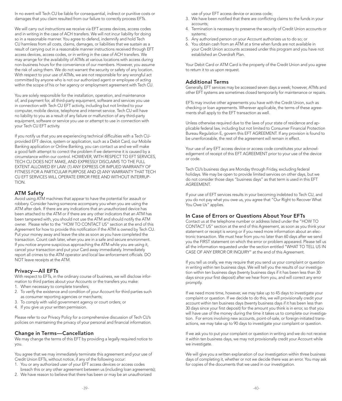In no event will Tech CU be liable for consequential, indirect or punitive costs or damages that you claim resulted from our failure to correctly process EFTs.

We will carry out instructions we receive via EFT access devices, access codes and in writing in the case of ACH transfers. We will not incur liability for doing so in a reasonable manner. You agree to defend, indemnify and hold Tech CU harmless from all costs, claims, damages, or liabilities that we sustain as a result of carrying out in a reasonable manner instructions received through EFT access devices, access codes, or in writing in the case of ACH transfers. We may arrange for the availability of ATMs at various locations with access during non-business hours for the convenience of our members. However, you assume the risk of using them. We do not warrant the security or safety of any location. With respect to your use of ATMs, we are not responsible for any wrongful act committed by anyone who is not our authorized agent or employee of acting within the scope of his or her agency or employment agreement with Tech CU.

You are solely responsible for the installation, operation, and maintenance of, and payment for, all third-party equipment, software and services you use in connection with Tech CU EFT activity, including but not limited to your computer, mobile device, telephone and internet service. Tech CU will have no liability to you as a result of any failure or malfunction of any third-party equipment, software or service you use or attempt to use in connection with your Tech CU EFT activity.

If you notify us that you are experiencing technical difficulties with a Tech CUprovided EFT device, system or application, such as a Debit Card, our Mobile Banking application or Online Banking, you can contact us and we will make a good faith attempt to correct the problem if we determine it is caused by a circumstance within our control. HOWEVER, WITH RESPECT TO EFT SERVICES, TECH CU DOES NOT MAKE, AND EXPRESSLY DISCLAIMS TO THE FULL EXTENT ALLOWED BY LAW: (1) ANY EXPRESS OR IMPLIED WARRANTY OF FITNESS FOR A PARTICULAR PURPOSE AND (2) ANY WARRANTY THAT TECH CU EFT SERVICES WILL OPERATE ERROR FREE AND WITHOUT INTERRUP-TION.

#### ATM Safety

transaction. Count cash later, when you are in a safe and secure environment. Avoid using ATM machines that appear to have the potential for assault or robbery. Consider having someone accompany you when you are using the ATM after dark. If there are any indications that an unauthorized device has been attached to the ATM or if there are any other indicators that an ATM has been tampered with, you should not use the ATM and should notify the ATM owner. Please refer to the "HOW TO CONTACT US" section at the end of this Agreement for how to provide this notification if the ATM is owned by Tech CU. Put your money away and leave the site as soon as you have completed the If you notice anyone suspicious approaching the ATM while you are using it, cancel your transaction and put your Card away immediately. Immediately report all crimes to the ATM operator and local law enforcement officials. DO NOT leave receipts at the ATM.

#### Privacy—All EFTs

With respect to EFTs, in the ordinary course of business, we will disclose information to third parties about your Accounts or the transfers you make:

- 1. When necessary to complete transfers;
- 2. To verify the existence and condition of your Account for third parties such as consumer reporting agencies or merchants;
- 3. To comply with valid government agency or court orders; or
- 4. If you give us your written permission.

Please refer to our Privacy Policy for a comprehensive discussion of Tech CU's policies on maintaining the privacy of your personal and fnancial information.

#### Change in Terms—Cancellation

We may change the terms of this EFT by providing a legally required notice to you.

You agree that we may immediately terminate this agreement and your use of Credit Union EFTs, without notice, if any of the following occur:

- 1. You or any authorized user of your EFT access devices or access codes
- breach this or any other agreement between us (including loan agreements); 2. We have reason to believe that there has been or may be an unauthorized

use of your EFT access device or access code;

- 3. We have been notifed that there are conficting claims to the funds in your accounts;
- 4. Termination is necessary to preserve the security of Credit Union accounts or systems;
- 5. Any authorized person on your Account authorizes us to do so; or
- 6. You obtain cash from an ATM at a time when funds are not available in your Credit Union accounts accessed under this program and you have not established an Overdraft Plan.

Your Debit Card or ATM Card is the property of the Credit Union and you agree to return it to us upon request.

#### Additional Terms

Generally, EFT services may be accessed seven days a week; however, ATMs and other EFT systems are sometimes closed temporarily for maintenance or repairs.

EFTs may involve other agreements you have with the Credit Union, such as checking or loan agreements. Wherever applicable, the terms of these agreements shall apply to the EFT transaction as well.

Unless otherwise required due to the laws of your state of residence and applicable federal law, including but not limited to Consumer Financial Protection Bureau Regulation E, govern this EFT AGREEMENT. If any provision is found to be unenforceable, the rest of the agreement will remain in effect.

Your use of any EFT access device or access code constitutes your acknowledgement of receipt of this EFT AGREEMENT prior to your use of the device or code.

Tech CU's business days are Monday through Friday, excluding federal holidays. We may be open to provide limited services on other days, but we do not consider those days "business days" as that term is used in this EFT AGREEMENT.

If your use of EFT services results in your becoming indebted to Tech CU, and you do not pay what you owe us, you agree that "Our Right to Recover What You Owe Us" applies.

#### In Case of Errors or Questions About Your EFTs

Contact us at the telephone number or address listed under the "HOW TO CONTACT US" section at the end of this Agreement, as soon as you think your statement or receipt is wrong or if you need more information about an electronic transaction. We must hear from you no later than 60 days after we send you the FIRST statement on which the error or problem appeared. Please tell us all the information requested under the section entitled "WHAT TO TELL US IN CASE OF ANY ERROR OR INQUIRY" at the end of this Agreement.

If you tell us orally, we may require that you send us your complaint or question in writing within ten business days. We will tell you the results of our investigation within ten business days (twenty business days if it has been less than 30 days since your frst deposit) after we hear from you, and will correct any error promptly.

If we need more time, however, we may take up to 45 days to investigate your complaint or question. If we decide to do this, we will provisionally credit your account within ten business days (twenty business days if it has been less than 30 days since your frst deposit) for the amount you think is in error, so that you will have use of the money during the time it takes us to complete our investigation. For errors involving new accounts, point-of-sale, or foreign-initiated transactions, we may take up to 90 days to investigate your complaint or question.

If we ask you to put your complaint or question in writing and we do not receive it within ten business days, we may not provisionally credit your Account while we investigate.

We will give you a written explanation of our investigation within three business days of completing it, whether or not we decide there was an error. You may ask for copies of the documents that we used in our investigation.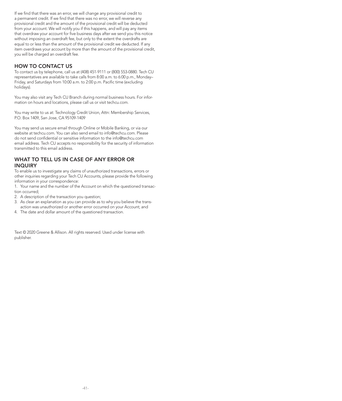If we find that there was an error, we will change any provisional credit to a permanent credit. If we find that there was no error, we will reverse any provisional credit and the amount of the provisional credit will be deducted from your account. We will notify you if this happens, and will pay any items that overdraw your account for fve business days after we send you this notice without imposing an overdraft fee, but only to the extent the overdrafts are equal to or less than the amount of the provisional credit we deducted. If any item overdraws your account by more than the amount of the provisional credit, you will be charged an overdraft fee.

#### HOW TO CONTACT US

To contact us by telephone, call us at (408) 451-9111 or (800) 553-0880. Tech CU representatives are available to take calls from 8:00 a.m. to 6:00 p.m., Monday– Friday, and Saturdays from 10:00 a.m. to 2:00 p.m. Pacific time (excluding holidays).

You may also visit any Tech CU Branch during normal business hours. For information on hours and locations, please call us or visit [techcu.com.](https://techcu.com)

You may write to us at: Technology Credit Union, Attn: Membership Services, P.O. Box 1409, San Jose, CA 95109-1409

You may send us secure email through Online or Mobile Banking, or via our website at [techcu.com.](https://techcu.com) You can also send email to [info@techcu.com.](mailto:info@techcu.com) Please do not send confdential or sensitive information to the [info@techcu.com](mailto:info@techcu.com)  email address. Tech CU accepts no responsibility for the security of information transmitted to this email address.

# WHAT TO TELL US IN CASE OF ANY ERROR OR INQUIRY

To enable us to investigate any claims of unauthorized transactions, errors or other inquiries regarding your Tech CU Accounts, please provide the following information in your correspondence:

1. Your name and the number of the Account on which the questioned transaction occurred;

2. A description of the transaction you question;

- 3. As clear an explanation as you can provide as to why you believe the transaction was unauthorized or another error occurred on your Account; and
- 4. The date and dollar amount of the questioned transaction.

Text © 2020 Greene & Allison. All rights reserved. Used under license with publisher.